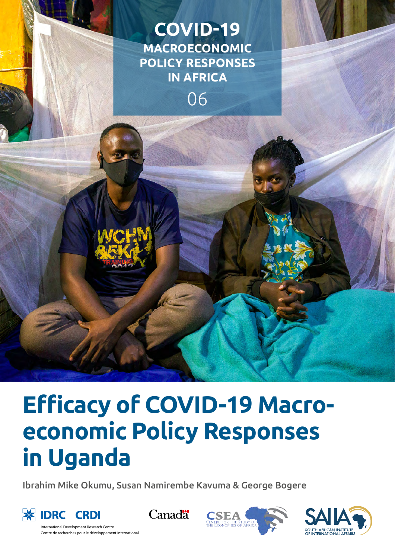



# **Efficacy of COVID-19 Macroeconomic Policy Responses in Uganda**

Ibrahim Mike Okumu, Susan Namirembe Kavuma & George Bogere



International Development Research Centre Centre de recherches pour le développement international





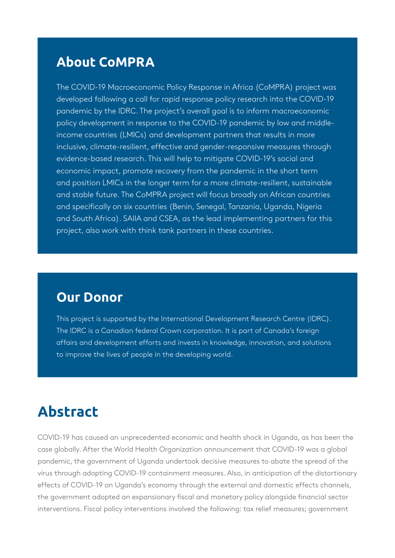# **About CoMPRA**

The COVID-19 Macroeconomic Policy Response in Africa (CoMPRA) project was developed following a call for rapid response policy research into the COVID-19 pandemic by the IDRC. The project's overall goal is to inform macroeconomic policy development in response to the COVID-19 pandemic by low and middleincome countries (LMICs) and development partners that results in more inclusive, climate-resilient, effective and gender-responsive measures through evidence-based research. This will help to mitigate COVID-19's social and economic impact, promote recovery from the pandemic in the short term and position LMICs in the longer term for a more climate-resilient, sustainable and stable future. The CoMPRA project will focus broadly on African countries and specifically on six countries (Benin, Senegal, Tanzania, Uganda, Nigeria and South Africa). SAIIA and CSEA, as the lead implementing partners for this project, also work with think tank partners in these countries.

# **Our Donor**

This project is supported by the International Development Research Centre (IDRC). The IDRC is a Canadian federal Crown corporation. It is part of Canada's foreign affairs and development efforts and invests in knowledge, innovation, and solutions to improve the lives of people in the developing world.

# **Abstract**

COVID-19 has caused an unprecedented economic and health shock in Uganda, as has been the case globally. After the World Health Organization announcement that COVID-19 was a global pandemic, the government of Uganda undertook decisive measures to abate the spread of the virus through adopting COVID-19 containment measures. Also, in anticipation of the distortionary effects of COVID-19 on Uganda's economy through the external and domestic effects channels, the government adopted an expansionary fiscal and monetary policy alongside financial sector interventions. Fiscal policy interventions involved the following: tax relief measures; government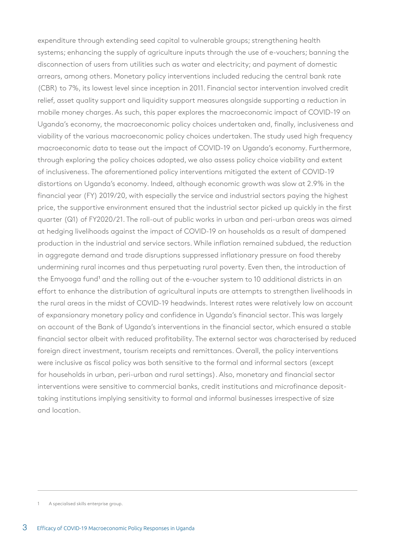expenditure through extending seed capital to vulnerable groups; strengthening health systems; enhancing the supply of agriculture inputs through the use of e-vouchers; banning the disconnection of users from utilities such as water and electricity; and payment of domestic arrears, among others. Monetary policy interventions included reducing the central bank rate (CBR) to 7%, its lowest level since inception in 2011. Financial sector intervention involved credit relief, asset quality support and liquidity support measures alongside supporting a reduction in mobile money charges. As such, this paper explores the macroeconomic impact of COVID-19 on Uganda's economy, the macroeconomic policy choices undertaken and, finally, inclusiveness and viability of the various macroeconomic policy choices undertaken. The study used high frequency macroeconomic data to tease out the impact of COVID-19 on Uganda's economy. Furthermore, through exploring the policy choices adopted, we also assess policy choice viability and extent of inclusiveness. The aforementioned policy interventions mitigated the extent of COVID-19 distortions on Uganda's economy. Indeed, although economic growth was slow at 2.9% in the financial year (FY) 2019/20, with especially the service and industrial sectors paying the highest price, the supportive environment ensured that the industrial sector picked up quickly in the first quarter (Q1) of FY2020/21. The roll-out of public works in urban and peri-urban areas was aimed at hedging livelihoods against the impact of COVID-19 on households as a result of dampened production in the industrial and service sectors. While inflation remained subdued, the reduction in aggregate demand and trade disruptions suppressed inflationary pressure on food thereby undermining rural incomes and thus perpetuating rural poverty. Even then, the introduction of the Emyooga fund<sup>1</sup> and the rolling out of the e-voucher system to 10 additional districts in an effort to enhance the distribution of agricultural inputs are attempts to strengthen livelihoods in the rural areas in the midst of COVID-19 headwinds. Interest rates were relatively low on account of expansionary monetary policy and confidence in Uganda's financial sector. This was largely on account of the Bank of Uganda's interventions in the financial sector, which ensured a stable financial sector albeit with reduced profitability. The external sector was characterised by reduced foreign direct investment, tourism receipts and remittances. Overall, the policy interventions were inclusive as fiscal policy was both sensitive to the formal and informal sectors (except for households in urban, peri-urban and rural settings). Also, monetary and financial sector interventions were sensitive to commercial banks, credit institutions and microfinance deposittaking institutions implying sensitivity to formal and informal businesses irrespective of size and location.

<sup>1</sup> A specialised skills enterprise group.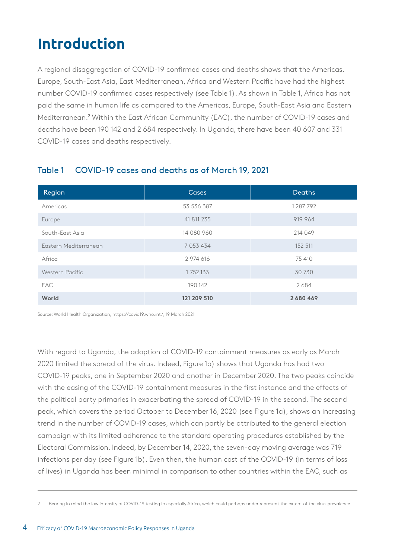# **Introduction**

A regional disaggregation of COVID-19 confirmed cases and deaths shows that the Americas, Europe, South-East Asia, East Mediterranean, Africa and Western Pacific have had the highest number COVID-19 confirmed cases respectively (see Table 1). As shown in Table 1, Africa has not paid the same in human life as compared to the Americas, Europe, South-East Asia and Eastern Mediterranean.<sup>2</sup> Within the East African Community (EAC), the number of COVID-19 cases and deaths have been 190 142 and 2 684 respectively. In Uganda, there have been 40 607 and 331 COVID-19 cases and deaths respectively.

| Region                | <b>Cases</b> | <b>Deaths</b> |
|-----------------------|--------------|---------------|
| Americas              | 53 536 387   | 1287792       |
| Europe                | 41 811 235   | 919 964       |
| South-East Asia       | 14 080 960   | 214 049       |
| Eastern Mediterranean | 7 053 434    | 152 511       |
| Africa                | 2 974 616    | 75 410        |
| Western Pacific       | 1752133      | 30 730        |
| EAC                   | 190 142      | 2684          |
| World                 | 121 209 510  | 2680469       |

### Table 1 COVID-19 cases and deaths as of March 19, 2021

Source: World Health Organization, https://covid19.who.int/, 19 March 2021

With regard to Uganda, the adoption of COVID-19 containment measures as early as March 2020 limited the spread of the virus. Indeed, Figure 1a) shows that Uganda has had two COVID-19 peaks, one in September 2020 and another in December 2020. The two peaks coincide with the easing of the COVID-19 containment measures in the first instance and the effects of the political party primaries in exacerbating the spread of COVID-19 in the second. The second peak, which covers the period October to December 16, 2020 (see Figure 1a), shows an increasing trend in the number of COVID-19 cases, which can partly be attributed to the general election campaign with its limited adherence to the standard operating procedures established by the Electoral Commission. Indeed, by December 14, 2020, the seven-day moving average was 719 infections per day (see Figure 1b). Even then, the human cost of the COVID-19 (in terms of loss of lives) in Uganda has been minimal in comparison to other countries within the EAC, such as

<sup>2</sup> Bearing in mind the low intensity of COVID-19 testing in especially Africa, which could perhaps under represent the extent of the virus prevalence.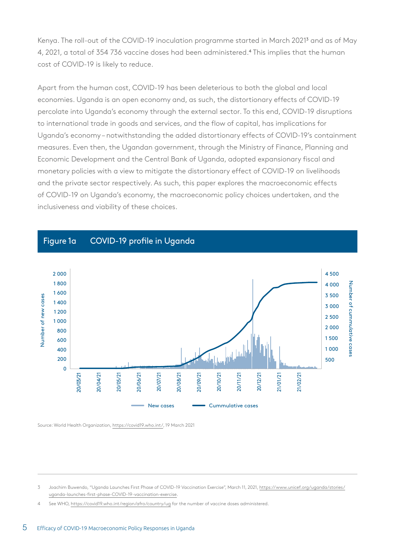Kenya. The roll-out of the COVID-19 inoculation programme started in March 2021<sup>3</sup> and as of May 4, 2021, a total of 354 736 vaccine doses had been administered.<sup>4</sup> This implies that the human cost of COVID-19 is likely to reduce.

Apart from the human cost, COVID-19 has been deleterious to both the global and local economies. Uganda is an open economy and, as such, the distortionary effects of COVID-19 percolate into Uganda's economy through the external sector. To this end, COVID-19 disruptions to international trade in goods and services, and the flow of capital, has implications for Uganda's economy – notwithstanding the added distortionary effects of COVID-19's containment measures. Even then, the Ugandan government, through the Ministry of Finance, Planning and Economic Development and the Central Bank of Uganda, adopted expansionary fiscal and monetary policies with a view to mitigate the distortionary effect of COVID-19 on livelihoods and the private sector respectively. As such, this paper explores the macroeconomic effects of COVID-19 on Uganda's economy, the macroeconomic policy choices undertaken, and the inclusiveness and viability of these choices.

#### Figure 1a COVID-19 profile in Uganda



Source: World Health Organization, [https://covid19.who.int/,](https://covid19.who.int/) 19 March 2021

See WHO, <https://covid19.who.int/region/afro/country/ug>for the number of vaccine doses administered.

<sup>3</sup> Joachim Buwendo, "Uganda Launches First Phase of COVID-19 Vaccination Exercise", March 11, 2021, [https://www.unicef.org/uganda/stories/](https://www.unicef.org/uganda/stories/uganda-launches-first-phase-COVID-19-vaccination-exercise) [uganda-launches-first-phase-COVID-19-vaccination-exercise](https://www.unicef.org/uganda/stories/uganda-launches-first-phase-COVID-19-vaccination-exercise).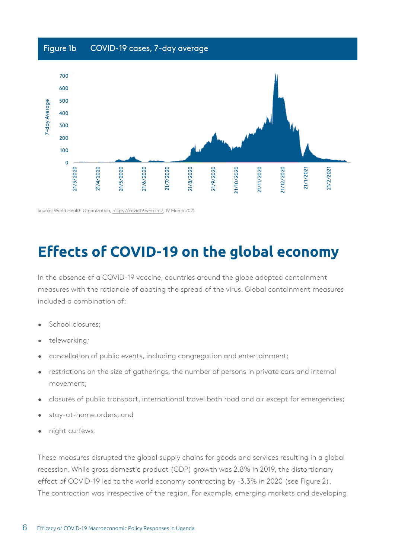# Figure 1b COVID-19 cases, 7-day average



Source: World Health Organization, <https://covid19.who.int/>, 19 March 2021

# **Effects of COVID-19 on the global economy**

In the absence of a COVID-19 vaccine, countries around the globe adopted containment measures with the rationale of abating the spread of the virus. Global containment measures included a combination of:

- School closures;
- teleworking;
- cancellation of public events, including congregation and entertainment;
- restrictions on the size of gatherings, the number of persons in private cars and internal movement;
- closures of public transport, international travel both road and air except for emergencies;
- stay-at-home orders; and
- night curfews.

These measures disrupted the global supply chains for goods and services resulting in a global recession. While gross domestic product (GDP) growth was 2.8% in 2019, the distortionary effect of COVID-19 led to the world economy contracting by -3.3% in 2020 (see Figure 2). The contraction was irrespective of the region. For example, emerging markets and developing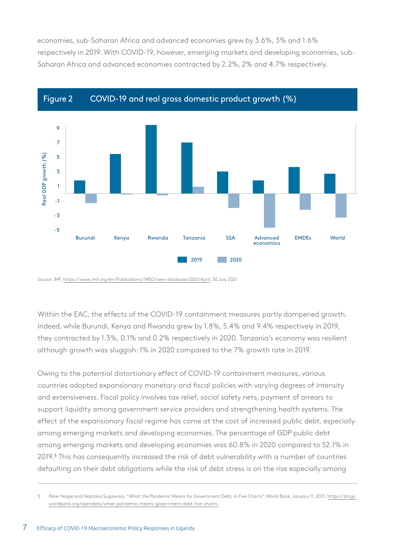economies, sub-Saharan Africa and advanced economies grew by 3.6%, 3% and 1.6% respectively in 2019. With COVID-19, however, emerging markets and developing economies, sub-Saharan Africa and advanced economies contracted by 2.2%, 2% and 4.7% respectively.





Source: IMF, [https://www.imf.org/en/Publications/WEO/weo-database/2021/April,](https://www.imf.org/en/Publications/WEO/weo-database/2021/April) 30 July 2021

Within the EAC, the effects of the COVID-19 containment measures partly dampened growth. Indeed, while Burundi, Kenya and Rwanda grew by 1.8%, 5.4% and 9.4% respectively in 2019, they contracted by 1.3%, 0.1% and 0.2% respectively in 2020. Tanzania's economy was resilient although growth was sluggish: 1% in 2020 compared to the 7% growth rate in 2019.

Owing to the potential distortionary effect of COVID-19 containment measures, various countries adopted expansionary monetary and fiscal policies with varying degrees of intensity and extensiveness. Fiscal policy involves tax relief, social safety nets, payment of arrears to support liquidity among government service providers and strengthening health systems. The effect of the expansionary fiscal regime has come at the cost of increased public debt, especially among emerging markets and developing economies. The percentage of GDP public debt among emerging markets and developing economies was 60.8% in 2020 compared to 52.1% in 2019.<sup>5</sup> This has consequently increased the risk of debt vulnerability with a number of countries defaulting on their debt obligations while the risk of debt stress is on the rise especially among

<sup>5</sup> Peter Nagle and Naotaka Sugawara, "What the Pandemic Means for Government Debt, in Five Charts", World Bank, January 11, 2021, [https://blogs.](https://blogs.worldbank.org/opendata/what-pandemic-means-government-debt-five-charts.) [worldbank.org/opendata/what-pandemic-means-government-debt-five-charts.](https://blogs.worldbank.org/opendata/what-pandemic-means-government-debt-five-charts.)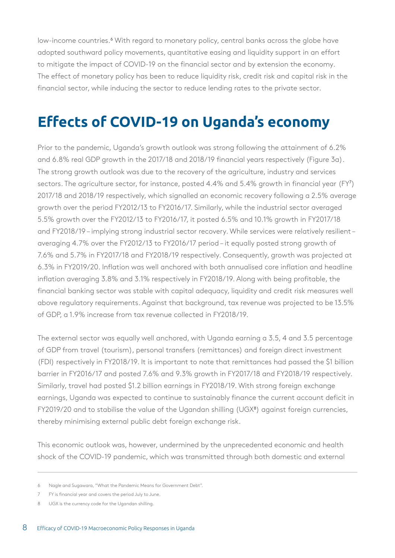low-income countries.<sup>6</sup> With regard to monetary policy, central banks across the globe have adopted southward policy movements, quantitative easing and liquidity support in an effort to mitigate the impact of COVID-19 on the financial sector and by extension the economy. The effect of monetary policy has been to reduce liquidity risk, credit risk and capital risk in the financial sector, while inducing the sector to reduce lending rates to the private sector.

# **Effects of COVID-19 on Uganda's economy**

Prior to the pandemic, Uganda's growth outlook was strong following the attainment of 6.2% and 6.8% real GDP growth in the 2017/18 and 2018/19 financial years respectively (Figure 3a). The strong growth outlook was due to the recovery of the agriculture, industry and services sectors. The agriculture sector, for instance, posted 4.4% and 5.4% growth in financial year (FY<sup>7</sup> ) 2017/18 and 2018/19 respectively, which signalled an economic recovery following a 2.5% average growth over the period FY2012/13 to FY2016/17. Similarly, while the industrial sector averaged 5.5% growth over the FY2012/13 to FY2016/17, it posted 6.5% and 10.1% growth in FY2017/18 and FY2018/19 – implying strong industrial sector recovery. While services were relatively resilient – averaging 4.7% over the FY2012/13 to FY2016/17 period – it equally posted strong growth of 7.6% and 5.7% in FY2017/18 and FY2018/19 respectively. Consequently, growth was projected at 6.3% in FY2019/20. Inflation was well anchored with both annualised core inflation and headline inflation averaging 3.8% and 3.1% respectively in FY2018/19. Along with being profitable, the financial banking sector was stable with capital adequacy, liquidity and credit risk measures well above regulatory requirements. Against that background, tax revenue was projected to be 13.5% of GDP, a 1.9% increase from tax revenue collected in FY2018/19.

The external sector was equally well anchored, with Uganda earning a 3.5, 4 and 3.5 percentage of GDP from travel (tourism), personal transfers (remittances) and foreign direct investment (FDI) respectively in FY2018/19. It is important to note that remittances had passed the \$1 billion barrier in FY2016/17 and posted 7.6% and 9.3% growth in FY2017/18 and FY2018/19 respectively. Similarly, travel had posted \$1.2 billion earnings in FY2018/19. With strong foreign exchange earnings, Uganda was expected to continue to sustainably finance the current account deficit in FY2019/20 and to stabilise the value of the Ugandan shilling (UGX<sup>8</sup>) against foreign currencies, thereby minimising external public debt foreign exchange risk.

This economic outlook was, however, undermined by the unprecedented economic and health shock of the COVID-19 pandemic, which was transmitted through both domestic and external

<sup>6</sup> Nagle and Sugawara, "What the Pandemic Means for Government Debt".

<sup>7</sup> FY is financial year and covers the period July to June.

<sup>8</sup> UGX is the currency code for the Ugandan shilling.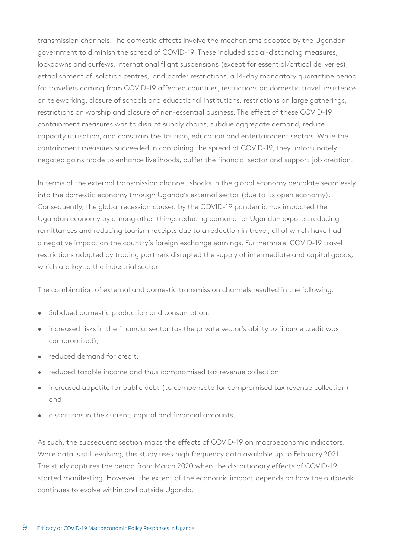transmission channels. The domestic effects involve the mechanisms adopted by the Ugandan government to diminish the spread of COVID-19. These included social-distancing measures, lockdowns and curfews, international flight suspensions (except for essential/critical deliveries), establishment of isolation centres, land border restrictions, a 14-day mandatory quarantine period for travellers coming from COVID-19 affected countries, restrictions on domestic travel, insistence on teleworking, closure of schools and educational institutions, restrictions on large gatherings, restrictions on worship and closure of non-essential business. The effect of these COVID-19 containment measures was to disrupt supply chains, subdue aggregate demand, reduce capacity utilisation, and constrain the tourism, education and entertainment sectors. While the containment measures succeeded in containing the spread of COVID-19, they unfortunately negated gains made to enhance livelihoods, buffer the financial sector and support job creation.

In terms of the external transmission channel, shocks in the global economy percolate seamlessly into the domestic economy through Uganda's external sector (due to its open economy). Consequently, the global recession caused by the COVID-19 pandemic has impacted the Ugandan economy by among other things reducing demand for Ugandan exports, reducing remittances and reducing tourism receipts due to a reduction in travel, all of which have had a negative impact on the country's foreign exchange earnings. Furthermore, COVID-19 travel restrictions adopted by trading partners disrupted the supply of intermediate and capital goods, which are key to the industrial sector.

The combination of external and domestic transmission channels resulted in the following:

- Subdued domestic production and consumption,
- increased risks in the financial sector (as the private sector's ability to finance credit was compromised),
- reduced demand for credit,
- reduced taxable income and thus compromised tax revenue collection,
- increased appetite for public debt (to compensate for compromised tax revenue collection) and
- distortions in the current, capital and financial accounts.

As such, the subsequent section maps the effects of COVID-19 on macroeconomic indicators. While data is still evolving, this study uses high frequency data available up to February 2021. The study captures the period from March 2020 when the distortionary effects of COVID-19 started manifesting. However, the extent of the economic impact depends on how the outbreak continues to evolve within and outside Uganda.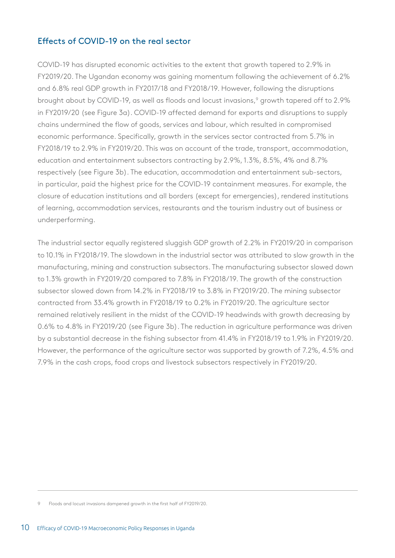### Effects of COVID-19 on the real sector

COVID-19 has disrupted economic activities to the extent that growth tapered to 2.9% in FY2019/20. The Ugandan economy was gaining momentum following the achievement of 6.2% and 6.8% real GDP growth in FY2017/18 and FY2018/19. However, following the disruptions brought about by COVID-19, as well as floods and locust invasions,<sup>9</sup> growth tapered off to 2.9% in FY2019/20 (see Figure 3a). COVID-19 affected demand for exports and disruptions to supply chains undermined the flow of goods, services and labour, which resulted in compromised economic performance. Specifically, growth in the services sector contracted from 5.7% in FY2018/19 to 2.9% in FY2019/20. This was on account of the trade, transport, accommodation, education and entertainment subsectors contracting by 2.9%, 1.3%, 8.5%, 4% and 8.7% respectively (see Figure 3b). The education, accommodation and entertainment sub-sectors, in particular, paid the highest price for the COVID-19 containment measures. For example, the closure of education institutions and all borders (except for emergencies), rendered institutions of learning, accommodation services, restaurants and the tourism industry out of business or underperforming.

The industrial sector equally registered sluggish GDP growth of 2.2% in FY2019/20 in comparison to 10.1% in FY2018/19. The slowdown in the industrial sector was attributed to slow growth in the manufacturing, mining and construction subsectors. The manufacturing subsector slowed down to 1.3% growth in FY2019/20 compared to 7.8% in FY2018/19. The growth of the construction subsector slowed down from 14.2% in FY2018/19 to 3.8% in FY2019/20. The mining subsector contracted from 33.4% growth in FY2018/19 to 0.2% in FY2019/20. The agriculture sector remained relatively resilient in the midst of the COVID-19 headwinds with growth decreasing by 0.6% to 4.8% in FY2019/20 (see Figure 3b). The reduction in agriculture performance was driven by a substantial decrease in the fishing subsector from 41.4% in FY2018/19 to 1.9% in FY2019/20. However, the performance of the agriculture sector was supported by growth of 7.2%, 4.5% and 7.9% in the cash crops, food crops and livestock subsectors respectively in FY2019/20.

<sup>9</sup> Floods and locust invasions dampened growth in the first half of FY2019/20.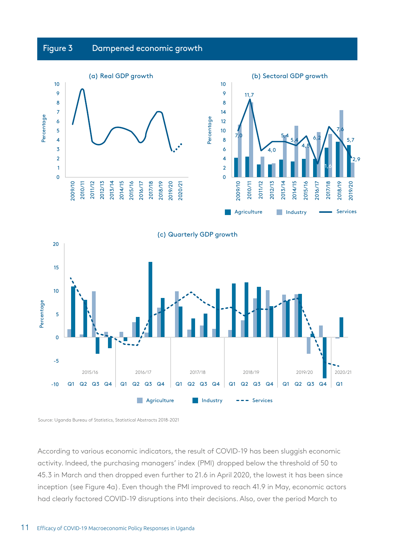# Figure 3 Dampened economic growth





Source: Uganda Bureau of Statistics, Statistical Abstracts 2018-2021

According to various economic indicators, the result of COVID-19 has been sluggish economic activity. Indeed, the purchasing managers' index (PMI) dropped below the threshold of 50 to 45.3 in March and then dropped even further to 21.6 in April 2020, the lowest it has been since inception (see Figure 4a). Even though the PMI improved to reach 41.9 in May, economic actors had clearly factored COVID-19 disruptions into their decisions. Also, over the period March to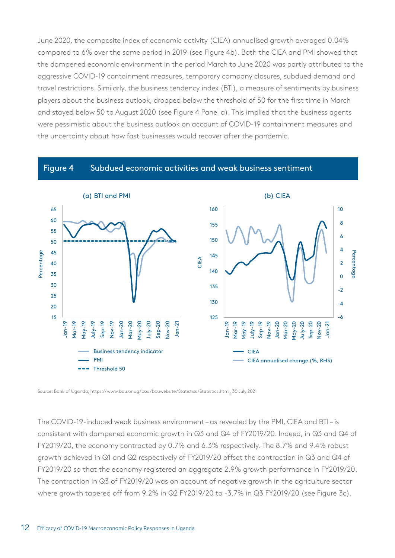June 2020, the composite index of economic activity (CIEA) annualised growth averaged 0.04% compared to 6% over the same period in 2019 (see Figure 4b). Both the CIEA and PMI showed that the dampened economic environment in the period March to June 2020 was partly attributed to the aggressive COVID-19 containment measures, temporary company closures, subdued demand and travel restrictions. Similarly, the business tendency index (BTI), a measure of sentiments by business players about the business outlook, dropped below the threshold of 50 for the first time in March and stayed below 50 to August 2020 (see Figure 4 Panel a). This implied that the business agents were pessimistic about the business outlook on account of COVID-19 containment measures and the uncertainty about how fast businesses would recover after the pandemic.

#### Figure 4 Subdued economic activities and weak business sentiment



Source: Bank of Uganda,<https://www.bou.or.ug/bou/bouwebsite/Statistics/Statistics.html>, 30 July 2021

The COVID-19-induced weak business environment – as revealed by the PMI, CIEA and BTI – is consistent with dampened economic growth in Q3 and Q4 of FY2019/20. Indeed, in Q3 and Q4 of FY2019/20, the economy contracted by 0.7% and 6.3% respectively. The 8.7% and 9.4% robust growth achieved in Q1 and Q2 respectively of FY2019/20 offset the contraction in Q3 and Q4 of FY2019/20 so that the economy registered an aggregate 2.9% growth performance in FY2019/20. The contraction in Q3 of FY2019/20 was on account of negative growth in the agriculture sector where growth tapered off from 9.2% in Q2 FY2019/20 to -3.7% in Q3 FY2019/20 (see Figure 3c).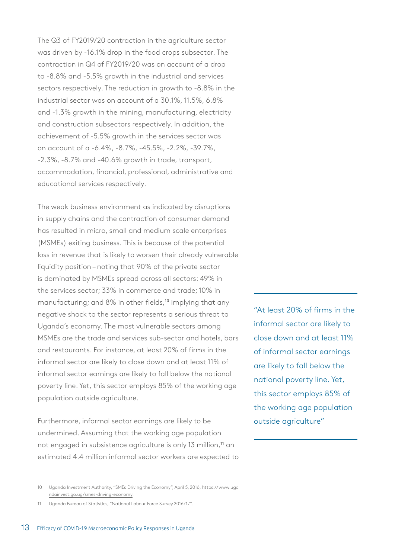The Q3 of FY2019/20 contraction in the agriculture sector was driven by -16.1% drop in the food crops subsector. The contraction in Q4 of FY2019/20 was on account of a drop to -8.8% and -5.5% growth in the industrial and services sectors respectively. The reduction in growth to -8.8% in the industrial sector was on account of a 30.1%, 11.5%, 6.8% and -1.3% growth in the mining, manufacturing, electricity and construction subsectors respectively. In addition, the achievement of -5.5% growth in the services sector was on account of a -6.4%, -8.7%, -45.5%, -2.2%, -39.7%, -2.3%, -8.7% and -40.6% growth in trade, transport, accommodation, financial, professional, administrative and educational services respectively.

The weak business environment as indicated by disruptions in supply chains and the contraction of consumer demand has resulted in micro, small and medium scale enterprises (MSMEs) exiting business. This is because of the potential loss in revenue that is likely to worsen their already vulnerable liquidity position – noting that 90% of the private sector is dominated by MSMEs spread across all sectors: 49% in the services sector; 33% in commerce and trade; 10% in manufacturing; and 8% in other fields,<sup>10</sup> implying that any negative shock to the sector represents a serious threat to Uganda's economy. The most vulnerable sectors among MSMEs are the trade and services sub-sector and hotels, bars and restaurants. For instance, at least 20% of firms in the informal sector are likely to close down and at least 11% of informal sector earnings are likely to fall below the national poverty line. Yet, this sector employs 85% of the working age population outside agriculture.

Furthermore, informal sector earnings are likely to be undermined. Assuming that the working age population not engaged in subsistence agriculture is only 13 million,<sup>11</sup> an estimated 4.4 million informal sector workers are expected to

10 Uganda Investment Authority, "SMEs Driving the Economy", April 5, 2016, [https://www.uga](https://www.ugandainvest.go.ug/smes-driving-economy) 

"At least 20% of firms in the informal sector are likely to close down and at least 11% of informal sector earnings are likely to fall below the national poverty line. Yet, this sector employs 85% of the working age population outside agriculture"

11 Uganda Bureau of Statistics, "National Labour Force Survey 2016/17".

[ndainvest.go.ug/smes-driving-economy.](https://www.ugandainvest.go.ug/smes-driving-economy)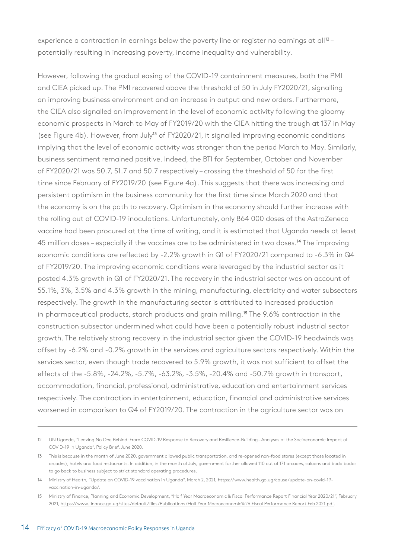experience a contraction in earnings below the poverty line or register no earnings at  $all^{12}$  – potentially resulting in increasing poverty, income inequality and vulnerability.

However, following the gradual easing of the COVID-19 containment measures, both the PMI and CIEA picked up. The PMI recovered above the threshold of 50 in July FY2020/21, signalling an improving business environment and an increase in output and new orders. Furthermore, the CIEA also signalled an improvement in the level of economic activity following the gloomy economic prospects in March to May of FY2019/20 with the CIEA hitting the trough at 137 in May (see Figure 4b). However, from July13 of FY2020/21, it signalled improving economic conditions implying that the level of economic activity was stronger than the period March to May. Similarly, business sentiment remained positive. Indeed, the BTI for September, October and November of FY2020/21 was 50.7, 51.7 and 50.7 respectively – crossing the threshold of 50 for the first time since February of FY2019/20 (see Figure 4a). This suggests that there was increasing and persistent optimism in the business community for the first time since March 2020 and that the economy is on the path to recovery. Optimism in the economy should further increase with the rolling out of COVID-19 inoculations. Unfortunately, only 864 000 doses of the AstraZeneca vaccine had been procured at the time of writing, and it is estimated that Uganda needs at least 45 million doses – especially if the vaccines are to be administered in two doses.<sup>14</sup> The improving economic conditions are reflected by -2.2% growth in Q1 of FY2020/21 compared to -6.3% in Q4 of FY2019/20. The improving economic conditions were leveraged by the industrial sector as it posted 4.3% growth in Q1 of FY2020/21. The recovery in the industrial sector was on account of 55.1%, 3%, 3.5% and 4.3% growth in the mining, manufacturing, electricity and water subsectors respectively. The growth in the manufacturing sector is attributed to increased production in pharmaceutical products, starch products and grain milling.<sup>15</sup> The 9.6% contraction in the construction subsector undermined what could have been a potentially robust industrial sector growth. The relatively strong recovery in the industrial sector given the COVID-19 headwinds was offset by -6.2% and -0.2% growth in the services and agriculture sectors respectively. Within the services sector, even though trade recovered to 5.9% growth, it was not sufficient to offset the effects of the -5.8%, -24.2%, -5.7%, -63.2%, -3.5%, -20.4% and -50.7% growth in transport, accommodation, financial, professional, administrative, education and entertainment services respectively. The contraction in entertainment, education, financial and administrative services worsened in comparison to Q4 of FY2019/20. The contraction in the agriculture sector was on

<sup>12</sup> UN Uganda, "Leaving No One Behind: From COVID-19 Response to Recovery and Resilience-Building – Analyses of the Socioeconomic Impact of COVID-19 in Uganda", Policy Brief, June 2020.

<sup>13</sup> This is because in the month of June 2020, government allowed public transportation, and re-opened non-food stores (except those located in arcades), hotels and food restaurants. In addition, in the month of July, government further allowed 110 out of 171 arcades, saloons and boda bodas to go back to business subject to strict standard operating procedures.

<sup>14</sup> Ministry of Health, "Update on COVID-19 vaccination in Uganda", March 2, 2021, [https://www.health.go.ug/cause/update-on-covid-19](https://www.health.go.ug/cause/update-on-covid-19-vaccination-in-uganda/) [vaccination-in-uganda/](https://www.health.go.ug/cause/update-on-covid-19-vaccination-in-uganda/).

<sup>15</sup> Ministry of Finance, Planning and Economic Development, "Half Year Macroeconomic & Fiscal Performance Report Financial Year 2020/21", February 2021,<https://www.finance.go.ug/sites/default/files/Publications/Half Year Macroeconomic%26 Fiscal Performance Report Feb 2021.pdf.>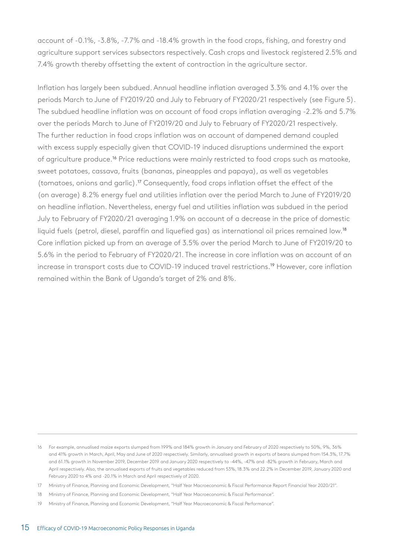account of -0.1%, -3.8%, -7.7% and -18.4% growth in the food crops, fishing, and forestry and agriculture support services subsectors respectively. Cash crops and livestock registered 2.5% and 7.4% growth thereby offsetting the extent of contraction in the agriculture sector.

Inflation has largely been subdued. Annual headline inflation averaged 3.3% and 4.1% over the periods March to June of FY2019/20 and July to February of FY2020/21 respectively (see Figure 5). The subdued headline inflation was on account of food crops inflation averaging -2.2% and 5.7% over the periods March to June of FY2019/20 and July to February of FY2020/21 respectively. The further reduction in food crops inflation was on account of dampened demand coupled with excess supply especially given that COVID-19 induced disruptions undermined the export of agriculture produce.16 Price reductions were mainly restricted to food crops such as matooke, sweet potatoes, cassava, fruits (bananas, pineapples and papaya), as well as vegetables (tomatoes, onions and garlic).17 Consequently, food crops inflation offset the effect of the (on average) 8.2% energy fuel and utilities inflation over the period March to June of FY2019/20 on headline inflation. Nevertheless, energy fuel and utilities inflation was subdued in the period July to February of FY2020/21 averaging 1.9% on account of a decrease in the price of domestic liquid fuels (petrol, diesel, paraffin and liquefied gas) as international oil prices remained low.<sup>18</sup> Core inflation picked up from an average of 3.5% over the period March to June of FY2019/20 to 5.6% in the period to February of FY2020/21. The increase in core inflation was on account of an increase in transport costs due to COVID-19 induced travel restrictions.19 However, core inflation remained within the Bank of Uganda's target of 2% and 8%.

<sup>16</sup> For example, annualised maize exports slumped from 199% and 184% growth in January and February of 2020 respectively to 50%, 9%, 36% and 41% growth in March, April, May and June of 2020 respectively. Similarly, annualised growth in exports of beans slumped from 154.3%, 17.7% and 61.1% growth in November 2019, December 2019 and January 2020 respectively to -44%, -47% and -82% growth in February, March and April respectively. Also, the annualised exports of fruits and vegetables reduced from 53%, 18.3% and 22.2% in December 2019, January 2020 and February 2020 to 4% and -20.1% in March and April respectively of 2020.

<sup>17</sup> Ministry of Finance, Planning and Economic Development, "Half Year Macroeconomic & Fiscal Performance Report Financial Year 2020/21".

<sup>18</sup> Ministry of Finance, Planning and Economic Development, "Half Year Macroeconomic & Fiscal Performance".

<sup>19</sup> Ministry of Finance, Planning and Economic Development, "Half Year Macroeconomic & Fiscal Performance".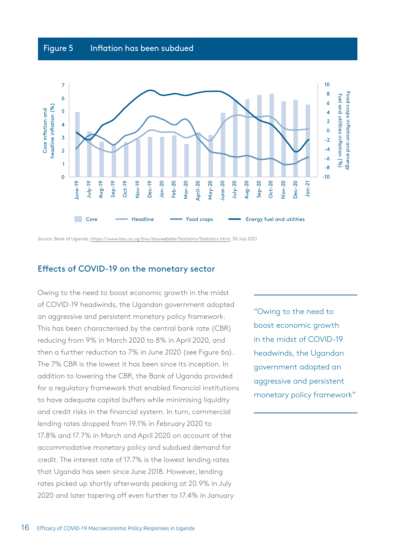# Figure 5 Inflation has been subdued



Source: Bank of Uganda, [https://www.bou.or.ug/bou/bouwebsite/Statistics/Statistics.html,](https://www.bou.or.ug/bou/bouwebsite/Statistics/Statistics.html) 30 July 2021

#### Effects of COVID-19 on the monetary sector

Owing to the need to boost economic growth in the midst of COVID-19 headwinds, the Ugandan government adopted an aggressive and persistent monetary policy framework. This has been characterised by the central bank rate (CBR) reducing from 9% in March 2020 to 8% in April 2020, and then a further reduction to 7% in June 2020 (see Figure 6a). The 7% CBR is the lowest it has been since its inception. In addition to lowering the CBR, the Bank of Uganda provided for a regulatory framework that enabled financial institutions to have adequate capital buffers while minimising liquidity and credit risks in the financial system. In turn, commercial lending rates dropped from 19.1% in February 2020 to 17.8% and 17.7% in March and April 2020 on account of the accommodative monetary policy and subdued demand for credit. The interest rate of 17.7% is the lowest lending rates that Uganda has seen since June 2018. However, lending rates picked up shortly afterwards peaking at 20.9% in July 2020 and later tapering off even further to 17.4% in January

"Owing to the need to boost economic growth in the midst of COVID-19 headwinds, the Ugandan government adopted an aggressive and persistent monetary policy framework"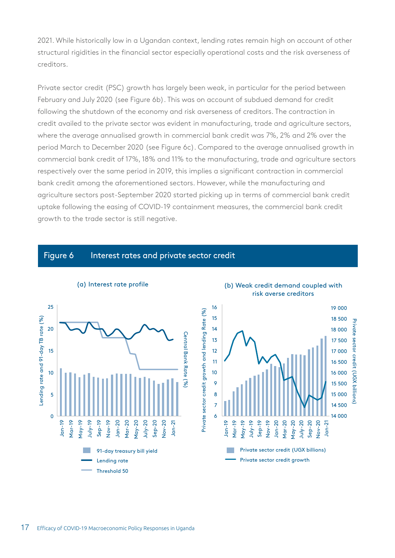2021. While historically low in a Ugandan context, lending rates remain high on account of other structural rigidities in the financial sector especially operational costs and the risk averseness of creditors.

Private sector credit (PSC) growth has largely been weak, in particular for the period between February and July 2020 (see Figure 6b). This was on account of subdued demand for credit following the shutdown of the economy and risk averseness of creditors. The contraction in credit availed to the private sector was evident in manufacturing, trade and agriculture sectors, where the average annualised growth in commercial bank credit was 7%, 2% and 2% over the period March to December 2020 (see Figure 6c). Compared to the average annualised growth in commercial bank credit of 17%, 18% and 11% to the manufacturing, trade and agriculture sectors respectively over the same period in 2019, this implies a significant contraction in commercial bank credit among the aforementioned sectors. However, while the manufacturing and agriculture sectors post-September 2020 started picking up in terms of commercial bank credit uptake following the easing of COVID-19 containment measures, the commercial bank credit growth to the trade sector is still negative.

#### Figure 6 Interest rates and private sector credit





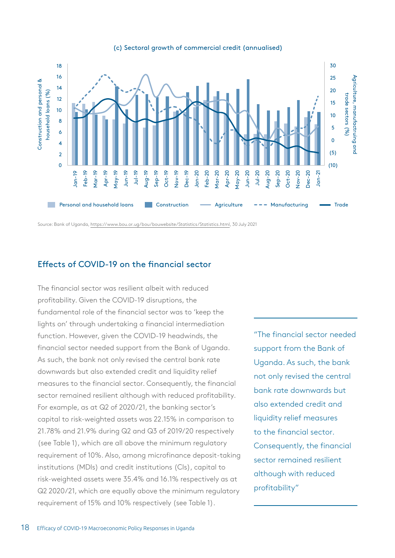

#### (c) Sectoral growth of commercial credit (annualised)

Source: Bank of Uganda, [https://www.bou.or.ug/bou/bouwebsite/Statistics/Statistics.html,](https://www.bou.or.ug/bou/bouwebsite/Statistics/Statistics.html) 30 July 2021

### Effects of COVID-19 on the financial sector

The financial sector was resilient albeit with reduced profitability. Given the COVID-19 disruptions, the fundamental role of the financial sector was to 'keep the lights on' through undertaking a financial intermediation function. However, given the COVID-19 headwinds, the financial sector needed support from the Bank of Uganda. As such, the bank not only revised the central bank rate downwards but also extended credit and liquidity relief measures to the financial sector. Consequently, the financial sector remained resilient although with reduced profitability. For example, as at Q2 of 2020/21, the banking sector's capital to risk-weighted assets was 22.15% in comparison to 21.78% and 21.9% during Q2 and Q3 of 2019/20 respectively (see Table 1), which are all above the minimum regulatory requirement of 10%. Also, among microfinance deposit-taking institutions (MDIs) and credit institutions (CIs), capital to risk-weighted assets were 35.4% and 16.1% respectively as at Q2 2020/21, which are equally above the minimum regulatory requirement of 15% and 10% respectively (see Table 1).

"The financial sector needed support from the Bank of Uganda. As such, the bank not only revised the central bank rate downwards but also extended credit and liquidity relief measures to the financial sector. Consequently, the financial sector remained resilient although with reduced profitability"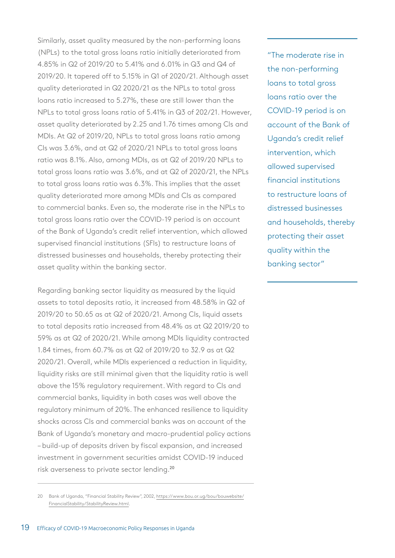Similarly, asset quality measured by the non-performing loans (NPLs) to the total gross loans ratio initially deteriorated from 4.85% in Q2 of 2019/20 to 5.41% and 6.01% in Q3 and Q4 of 2019/20. It tapered off to 5.15% in Q1 of 2020/21. Although asset quality deteriorated in Q2 2020/21 as the NPLs to total gross loans ratio increased to 5.27%, these are still lower than the NPLs to total gross loans ratio of 5.41% in Q3 of 202/21. However, asset quality deteriorated by 2.25 and 1.76 times among CIs and MDIs. At Q2 of 2019/20, NPLs to total gross loans ratio among CIs was 3.6%, and at Q2 of 2020/21 NPLs to total gross loans ratio was 8.1%. Also, among MDIs, as at Q2 of 2019/20 NPLs to total gross loans ratio was 3.6%, and at Q2 of 2020/21, the NPLs to total gross loans ratio was 6.3%. This implies that the asset quality deteriorated more among MDIs and CIs as compared to commercial banks. Even so, the moderate rise in the NPLs to total gross loans ratio over the COVID-19 period is on account of the Bank of Uganda's credit relief intervention, which allowed supervised financial institutions (SFIs) to restructure loans of distressed businesses and households, thereby protecting their asset quality within the banking sector.

Regarding banking sector liquidity as measured by the liquid assets to total deposits ratio, it increased from 48.58% in Q2 of 2019/20 to 50.65 as at Q2 of 2020/21. Among CIs, liquid assets to total deposits ratio increased from 48.4% as at Q2 2019/20 to 59% as at Q2 of 2020/21. While among MDIs liquidity contracted 1.84 times, from 60.7% as at Q2 of 2019/20 to 32.9 as at Q2 2020/21. Overall, while MDIs experienced a reduction in liquidity, liquidity risks are still minimal given that the liquidity ratio is well above the 15% regulatory requirement. With regard to CIs and commercial banks, liquidity in both cases was well above the regulatory minimum of 20%. The enhanced resilience to liquidity shocks across CIs and commercial banks was on account of the Bank of Uganda's monetary and macro-prudential policy actions – build-up of deposits driven by fiscal expansion, and increased investment in government securities amidst COVID-19 induced risk averseness to private sector lending.<sup>20</sup>

"The moderate rise in the non-performing loans to total gross loans ratio over the COVID-19 period is on account of the Bank of Uganda's credit relief intervention, which allowed supervised financial institutions to restructure loans of distressed businesses and households, thereby protecting their asset quality within the banking sector"

<sup>20</sup> Bank of Uganda, "Financial Stability Review", 2002, [https://www.bou.or.ug/bou/bouwebsite/](https://www.bou.or.ug/bou/bouwebsite/FinancialStability/StabilityReview.html) [FinancialStability/StabilityReview.html](https://www.bou.or.ug/bou/bouwebsite/FinancialStability/StabilityReview.html).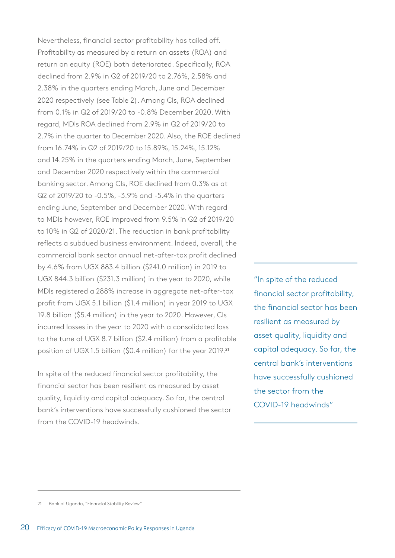Nevertheless, financial sector profitability has tailed off. Profitability as measured by a return on assets (ROA) and return on equity (ROE) both deteriorated. Specifically, ROA declined from 2.9% in Q2 of 2019/20 to 2.76%, 2.58% and 2.38% in the quarters ending March, June and December 2020 respectively (see Table 2). Among CIs, ROA declined from 0.1% in Q2 of 2019/20 to -0.8% December 2020. With regard, MDIs ROA declined from 2.9% in Q2 of 2019/20 to 2.7% in the quarter to December 2020. Also, the ROE declined from 16.74% in Q2 of 2019/20 to 15.89%, 15.24%, 15.12% and 14.25% in the quarters ending March, June, September and December 2020 respectively within the commercial banking sector. Among CIs, ROE declined from 0.3% as at Q2 of 2019/20 to -0.5%, -3.9% and -5.4% in the quarters ending June, September and December 2020. With regard to MDIs however, ROE improved from 9.5% in Q2 of 2019/20 to 10% in Q2 of 2020/21. The reduction in bank profitability reflects a subdued business environment. Indeed, overall, the commercial bank sector annual net-after-tax profit declined by 4.6% from UGX 883.4 billion (\$241.0 million) in 2019 to UGX 844.3 billion (\$231.3 million) in the year to 2020, while MDIs registered a 288% increase in aggregate net-after-tax profit from UGX 5.1 billion (\$1.4 million) in year 2019 to UGX 19.8 billion (\$5.4 million) in the year to 2020. However, CIs incurred losses in the year to 2020 with a consolidated loss to the tune of UGX 8.7 billion (\$2.4 million) from a profitable position of UGX 1.5 billion (\$0.4 million) for the year 2019.<sup>21</sup>

In spite of the reduced financial sector profitability, the financial sector has been resilient as measured by asset quality, liquidity and capital adequacy. So far, the central bank's interventions have successfully cushioned the sector from the COVID-19 headwinds.

"In spite of the reduced financial sector profitability, the financial sector has been resilient as measured by asset quality, liquidity and capital adequacy. So far, the central bank's interventions have successfully cushioned the sector from the COVID-19 headwinds"

<sup>21</sup> Bank of Uganda, "Financial Stability Review".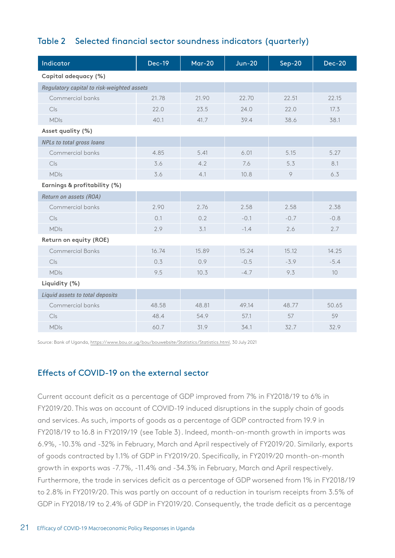# Table 2 Selected financial sector soundness indicators (quarterly)

| Indicator                                  | <b>Dec-19</b> | <b>Mar-20</b> | <b>Jun-20</b> | $Sep-20$ | <b>Dec-20</b> |  |
|--------------------------------------------|---------------|---------------|---------------|----------|---------------|--|
| Capital adequacy (%)                       |               |               |               |          |               |  |
| Regulatory capital to risk-weighted assets |               |               |               |          |               |  |
| Commercial banks                           | 21.78         | 21.90         | 22.70         | 22.51    | 22.15         |  |
| Cls                                        | 22.0          | 23.5          | 24.0          | 22.0     | 17.3          |  |
| <b>MDIs</b>                                | 40.1          | 41.7          | 39.4          | 38.6     | 38.1          |  |
| Asset quality (%)                          |               |               |               |          |               |  |
| <b>NPLs to total gross loans</b>           |               |               |               |          |               |  |
| Commercial banks                           | 4.85          | 5.41          | 6.01          | 5.15     | 5.27          |  |
| C S                                        | 3.6           | 4.2           | 7.6           | 5.3      | 8.1           |  |
| <b>MDIs</b>                                | 3.6           | 4.1           | 10.8          | $\circ$  | 6.3           |  |
| Earnings & profitability (%)               |               |               |               |          |               |  |
| Return on assets (ROA)                     |               |               |               |          |               |  |
| Commercial banks                           | 2.90          | 2.76          | 2.58          | 2.58     | 2.38          |  |
| C S                                        | 0.1           | 0.2           | $-0.1$        | $-0.7$   | $-0.8$        |  |
| <b>MDIs</b>                                | 2.9           | 3.1           | $-1.4$        | 2.6      | 2.7           |  |
| Return on equity (ROE)                     |               |               |               |          |               |  |
| <b>Commercial Banks</b>                    | 16.74         | 15.89         | 15.24         | 15.12    | 14.25         |  |
| C S                                        | 0.3           | 0.9           | $-0.5$        | $-3.9$   | $-5.4$        |  |
| <b>MDIs</b>                                | 9.5           | 10.3          | $-4.7$        | 9.3      | 10            |  |
| Liquidity (%)                              |               |               |               |          |               |  |
| Liquid assets to total deposits            |               |               |               |          |               |  |
| Commercial banks                           | 48.58         | 48.81         | 49.14         | 48.77    | 50.65         |  |
| C S                                        | 48.4          | 54.9          | 57.1          | 57       | 59            |  |
| <b>MDIs</b>                                | 60.7          | 31.9          | 34.1          | 32.7     | 32.9          |  |

Source: Bank of Uganda,<https://www.bou.or.ug/bou/bouwebsite/Statistics/Statistics.html>, 30 July 2021

### Effects of COVID-19 on the external sector

Current account deficit as a percentage of GDP improved from 7% in FY2018/19 to 6% in FY2019/20. This was on account of COVID-19 induced disruptions in the supply chain of goods and services. As such, imports of goods as a percentage of GDP contracted from 19.9 in FY2018/19 to 16.8 in FY2019/19 (see Table 3). Indeed, month-on-month growth in imports was 6.9%, -10.3% and -32% in February, March and April respectively of FY2019/20. Similarly, exports of goods contracted by 1.1% of GDP in FY2019/20. Specifically, in FY2019/20 month-on-month growth in exports was -7.7%, -11.4% and -34.3% in February, March and April respectively. Furthermore, the trade in services deficit as a percentage of GDP worsened from 1% in FY2018/19 to 2.8% in FY2019/20. This was partly on account of a reduction in tourism receipts from 3.5% of GDP in FY2018/19 to 2.4% of GDP in FY2019/20. Consequently, the trade deficit as a percentage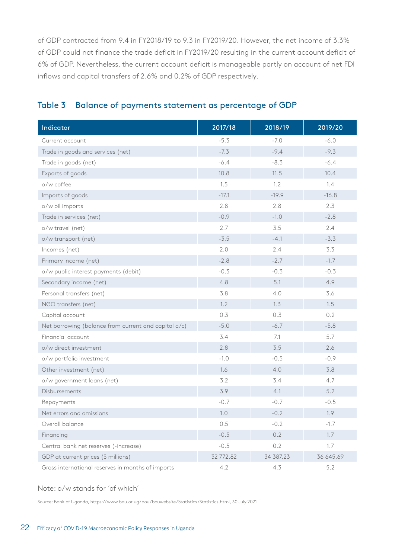of GDP contracted from 9.4 in FY2018/19 to 9.3 in FY2019/20. However, the net income of 3.3% of GDP could not finance the trade deficit in FY2019/20 resulting in the current account deficit of 6% of GDP. Nevertheless, the current account deficit is manageable partly on account of net FDI inflows and capital transfers of 2.6% and 0.2% of GDP respectively.

| Indicator                                            | 2017/18   | 2018/19   | 2019/20   |
|------------------------------------------------------|-----------|-----------|-----------|
| Current account                                      | $-5.3$    | $-7.0$    | $-6.0$    |
| Trade in goods and services (net)                    | $-7.3$    | $-9.4$    | $-9.3$    |
| Trade in goods (net)                                 | $-6.4$    | $-8.3$    | $-6.4$    |
| Exports of goods                                     | 10.8      | 11.5      | 10.4      |
| o/w coffee                                           | 1.5       | 1.2       | 1.4       |
| Imports of goods                                     | $-17.1$   | $-19.9$   | $-16.8$   |
| o/w oil imports                                      | 2.8       | 2.8       | 2.3       |
| Trade in services (net)                              | $-0.9$    | $-1.0$    | $-2.8$    |
| o/w travel (net)                                     | 2.7       | 3.5       | 2.4       |
| o/w transport (net)                                  | $-3.5$    | $-4.1$    | $-3.3$    |
| Incomes (net)                                        | 2.0       | 2.4       | 3.3       |
| Primary income (net)                                 | $-2.8$    | $-2.7$    | $-1.7$    |
| o/w public interest payments (debit)                 | $-0.3$    | $-0.3$    | $-0.3$    |
| Secondary income (net)                               | 4.8       | 5.1       | 4.9       |
| Personal transfers (net)                             | 3.8       | 4.0       | 3.6       |
| NGO transfers (net)                                  | 1.2       | 1.3       | 1.5       |
| Capital account                                      | 0.3       | 0.3       | 0.2       |
| Net borrowing (balance from current and capital a/c) | $-5.0$    | $-6.7$    | $-5.8$    |
| Financial account                                    | 3.4       | 7.1       | 5.7       |
| o/w direct investment                                | 2.8       | 3.5       | 2.6       |
| o/w portfolio investment                             | $-1.0$    | $-0.5$    | $-0.9$    |
| Other investment (net)                               | 1.6       | 4.0       | 3.8       |
| o/w government loans (net)                           | 3.2       | 3.4       | 4.7       |
| Disbursements                                        | 3.9       | 4.1       | 5.2       |
| Repayments                                           | $-0.7$    | $-0.7$    | $-0.5$    |
| Net errors and omissions                             | 1.0       | $-0.2$    | 1.9       |
| Overall balance                                      | 0.5       | $-0.2$    | $-1.7$    |
| Financing                                            | $-0.5$    | 0.2       | 1.7       |
| Central bank net reserves (-increase)                | $-0.5$    | 0.2       | 1.7       |
| GDP at current prices (\$ millions)                  | 32 772.82 | 34 387.23 | 36 645.69 |
| Gross international reserves in months of imports    | 4.2       | 4.3       | 5.2       |

## Table 3 Balance of payments statement as percentage of GDP

#### Note: o/w stands for 'of which'

Source: Bank of Uganda,<https://www.bou.or.ug/bou/bouwebsite/Statistics/Statistics.html>, 30 July 2021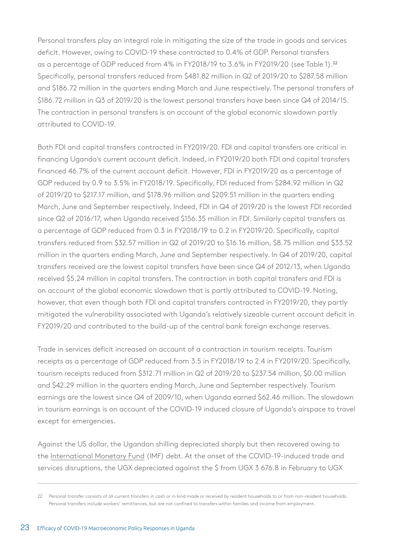Personal transfers play an integral role in mitigating the size of the trade in goods and services deficit. However, owing to COVID-19 these contracted to 0.4% of GDP. Personal transfers as a percentage of GDP reduced from 4% in FY2018/19 to 3.6% in FY2019/20 (see Table 1).<sup>22</sup> Specifically, personal transfers reduced from \$481.82 million in Q2 of 2019/20 to \$287.58 million and \$186.72 million in the quarters ending March and June respectively. The personal transfers of \$186.72 million in Q3 of 2019/20 is the lowest personal transfers have been since Q4 of 2014/15. The contraction in personal transfers is on account of the global economic slowdown partly attributed to COVID-19.

Both FDI and capital transfers contracted in FY2019/20. FDI and capital transfers are critical in financing Uganda's current account deficit. Indeed, in FY2019/20 both FDI and capital transfers financed 46.7% of the current account deficit. However, FDI in FY2019/20 as a percentage of GDP reduced by 0.9 to 3.5% in FY2018/19. Specifically, FDI reduced from \$284.92 million in Q2 of 2019/20 to \$217.17 million, and \$178.96 million and \$209.51 million in the quarters ending March, June and September respectively. Indeed, FDI in Q4 of 2019/20 is the lowest FDI recorded since Q2 of 2016/17, when Uganda received \$156.35 million in FDI. Similarly capital transfers as a percentage of GDP reduced from 0.3 in FY2018/19 to 0.2 in FY2019/20. Specifically, capital transfers reduced from \$32.57 million in Q2 of 2019/20 to \$16.16 million, \$8.75 million and \$33.52 million in the quarters ending March, June and September respectively. In Q4 of 2019/20, capital transfers received are the lowest capital transfers have been since Q4 of 2012/13, when Uganda received \$5.24 million in capital transfers. The contraction in both capital transfers and FDI is on account of the global economic slowdown that is partly attributed to COVID-19. Noting, however, that even though both FDI and capital transfers contracted in FY2019/20, they partly mitigated the vulnerability associated with Uganda's relatively sizeable current account deficit in FY2019/20 and contributed to the build-up of the central bank foreign exchange reserves.

Trade in services deficit increased on account of a contraction in tourism receipts. Tourism receipts as a percentage of GDP reduced from 3.5 in FY2018/19 to 2.4 in FY2019/20. Specifically, tourism receipts reduced from \$312.71 million in Q2 of 2019/20 to \$237.54 million, \$0.00 million and \$42.29 million in the quarters ending March, June and September respectively. Tourism earnings are the lowest since Q4 of 2009/10, when Uganda earned \$62.46 million. The slowdown in tourism earnings is on account of the COVID-19 induced closure of Uganda's airspace to travel except for emergencies.

Against the US dollar, the Ugandan shilling depreciated sharply but then recovered owing to the [International Monetary Fund](http://www.imf.org/) (IMF) debt. At the onset of the COVID-19-induced trade and services disruptions, the UGX depreciated against the \$ from UGX 3 676.8 in February to UGX

<sup>22</sup> Personal transfer consists of all current transfers in cash or in kind made or received by resident households to or from non-resident households. Personal transfers include workers' remittances, but are not confined to transfers within families and income from employment.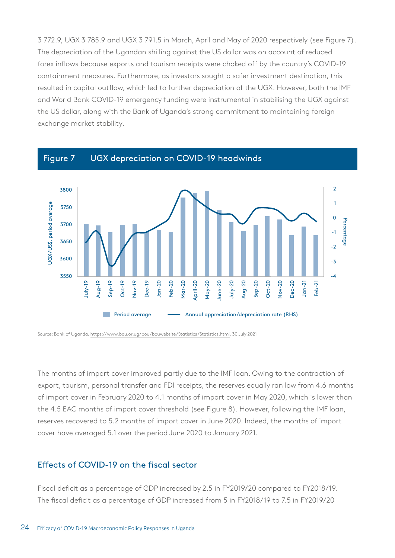3 772.9, UGX 3 785.9 and UGX 3 791.5 in March, April and May of 2020 respectively (see Figure 7). The depreciation of the Ugandan shilling against the US dollar was on account of reduced forex inflows because exports and tourism receipts were choked off by the country's COVID-19 containment measures. Furthermore, as investors sought a safer investment destination, this resulted in capital outflow, which led to further depreciation of the UGX. However, both the IMF and World Bank COVID-19 emergency funding were instrumental in stabilising the UGX against the US dollar, along with the Bank of Uganda's strong commitment to maintaining foreign exchange market stability.



Source: Bank of Uganda,<https://www.bou.or.ug/bou/bouwebsite/Statistics/Statistics.html>, 30 July 2021

The months of import cover improved partly due to the IMF loan. Owing to the contraction of export, tourism, personal transfer and FDI receipts, the reserves equally ran low from 4.6 months of import cover in February 2020 to 4.1 months of import cover in May 2020, which is lower than the 4.5 EAC months of import cover threshold (see Figure 8). However, following the IMF loan, reserves recovered to 5.2 months of import cover in June 2020. Indeed, the months of import cover have averaged 5.1 over the period June 2020 to January 2021.

### Effects of COVID-19 on the fiscal sector

Fiscal deficit as a percentage of GDP increased by 2.5 in FY2019/20 compared to FY2018/19. The fiscal deficit as a percentage of GDP increased from 5 in FY2018/19 to 7.5 in FY2019/20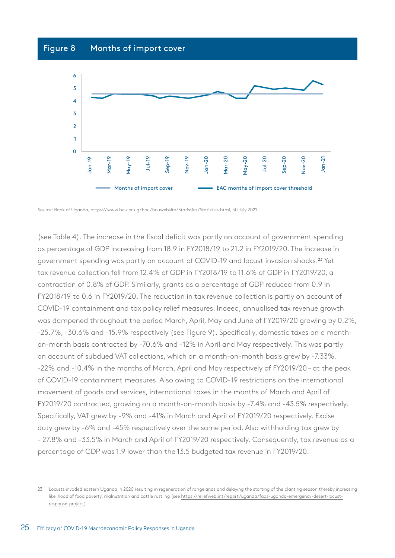# Figure 8 Months of import cover



Source: Bank of Uganda, [https://www.bou.or.ug/bou/bouwebsite/Statistics/Statistics.html,](https://www.bou.or.ug/bou/bouwebsite/Statistics/Statistics.html) 30 July 2021

(see Table 4). The increase in the fiscal deficit was partly on account of government spending as percentage of GDP increasing from 18.9 in FY2018/19 to 21.2 in FY2019/20. The increase in government spending was partly on account of COVID-19 and locust invasion shocks.23 Yet tax revenue collection fell from 12.4% of GDP in FY2018/19 to 11.6% of GDP in FY2019/20, a contraction of 0.8% of GDP. Similarly, grants as a percentage of GDP reduced from 0.9 in FY2018/19 to 0.6 in FY2019/20. The reduction in tax revenue collection is partly on account of COVID-19 containment and tax policy relief measures. Indeed, annualised tax revenue growth was dampened throughout the period March, April, May and June of FY2019/20 growing by 0.2%, -25.7%, -30.6% and -15.9% respectively (see Figure 9). Specifically, domestic taxes on a monthon-month basis contracted by -70.6% and -12% in April and May respectively. This was partly on account of subdued VAT collections, which on a month-on-month basis grew by -7.33%, -22% and -10.4% in the months of March, April and May respectively of FY2019/20 – at the peak of COVID-19 containment measures. Also owing to COVID-19 restrictions on the international movement of goods and services, international taxes in the months of March and April of FY2019/20 contracted, growing on a month-on-month basis by -7.4% and -43.5% respectively. Specifically, VAT grew by -9% and -41% in March and April of FY2019/20 respectively. Excise duty grew by -6% and -45% respectively over the same period. Also withholding tax grew by - 27.8% and -33.5% in March and April of FY2019/20 respectively. Consequently, tax revenue as a percentage of GDP was 1.9 lower than the 13.5 budgeted tax revenue in FY2019/20.

<sup>23</sup> Locusts invaded eastern Uganda in 2020 resulting in regeneration of rangelands and delaying the starting of the planting season thereby increasing likelihood of food poverty, malnutrition and cattle rustling (see [https://reliefweb.int/report/uganda/faqs-uganda-emergency-desert-locust](https://reliefweb.int/report/uganda/faqs-uganda-emergency-desert-locust-response-project)[response-project\)](https://reliefweb.int/report/uganda/faqs-uganda-emergency-desert-locust-response-project).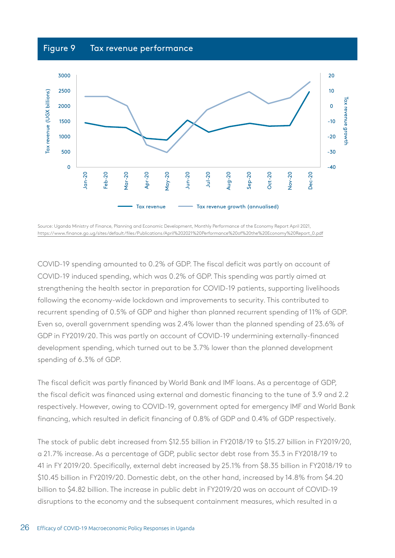# Figure 9 Tax revenue performance



Source: Uganda Ministry of Finance, Planning and Economic Development, Monthly Performance of the Economy Report April 2021, [https://www.finance.go.ug/sites/default/files/Publications/April%202021%20Performance%20of%20the%20Economy%20Report\\_0.pdf](https://www.finance.go.ug/sites/default/files/Publications/April%202021%20Performance%20of%20the%20Economy%20Report_0.pdf)

COVID-19 spending amounted to 0.2% of GDP. The fiscal deficit was partly on account of COVID-19 induced spending, which was 0.2% of GDP. This spending was partly aimed at strengthening the health sector in preparation for COVID-19 patients, supporting livelihoods following the economy-wide lockdown and improvements to security. This contributed to recurrent spending of 0.5% of GDP and higher than planned recurrent spending of 11% of GDP. Even so, overall government spending was 2.4% lower than the planned spending of 23.6% of GDP in FY2019/20. This was partly on account of COVID-19 undermining externally-financed development spending, which turned out to be 3.7% lower than the planned development spending of 6.3% of GDP.

The fiscal deficit was partly financed by World Bank and IMF loans. As a percentage of GDP, the fiscal deficit was financed using external and domestic financing to the tune of 3.9 and 2.2 respectively. However, owing to COVID-19, government opted for emergency IMF and World Bank financing, which resulted in deficit financing of 0.8% of GDP and 0.4% of GDP respectively.

The stock of public debt increased from \$12.55 billion in FY2018/19 to \$15.27 billion in FY2019/20, a 21.7% increase. As a percentage of GDP, public sector debt rose from 35.3 in FY2018/19 to 41 in FY 2019/20. Specifically, external debt increased by 25.1% from \$8.35 billion in FY2018/19 to \$10.45 billion in FY2019/20. Domestic debt, on the other hand, increased by 14.8% from \$4.20 billion to \$4.82 billion. The increase in public debt in FY2019/20 was on account of COVID-19 disruptions to the economy and the subsequent containment measures, which resulted in a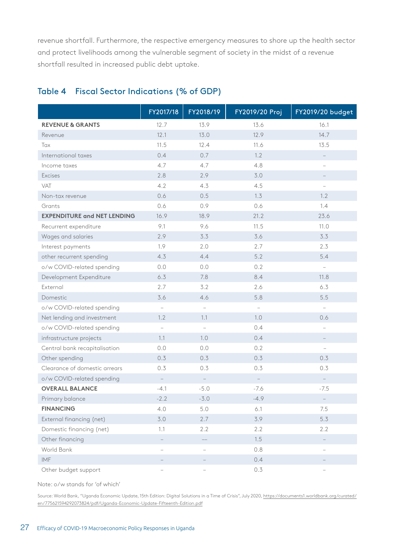revenue shortfall. Furthermore, the respective emergency measures to shore up the health sector and protect livelihoods among the vulnerable segment of society in the midst of a revenue shortfall resulted in increased public debt uptake.

### Table 4 Fiscal Sector Indications (% of GDP)

|                                    | FY2017/18                | FY2018/19                | FY2019/20 Proj           | <b>FY2019/20 budget</b>  |
|------------------------------------|--------------------------|--------------------------|--------------------------|--------------------------|
| <b>REVENUE &amp; GRANTS</b>        | 12.7                     | 13.9                     | 13.6                     | 16.1                     |
| Revenue                            | 12.1                     | 13.0                     | 12.9                     | 14.7                     |
| Tax                                | 11.5                     | 12.4                     | 11.6                     | 13.5                     |
| International taxes                | 0.4                      | 0.7                      | 1.2                      |                          |
| Income taxes                       | 4.7                      | 4.7                      | 4.8                      | $\overline{\phantom{0}}$ |
| <b>Excises</b>                     | 2.8                      | 2.9                      | 3.0                      |                          |
| VAT                                | 4.2                      | 4.3                      | 4.5                      | $\overline{\phantom{0}}$ |
| Non-tax revenue                    | 0.6                      | 0.5                      | 1.3                      | 1.2                      |
| Grants                             | 0.6                      | 0.9                      | 0.6                      | 1.4                      |
| <b>EXPENDITURE and NET LENDING</b> | 16.9                     | 18.9                     | 21.2                     | 23.6                     |
| Recurrent expenditure              | 9.1                      | 9.6                      | 11.5                     | 11.0                     |
| Wages and salaries                 | 2.9                      | 3.3                      | 3.6                      | 3.3                      |
| Interest payments                  | 1.9                      | 2.0                      | 2.7                      | 2.3                      |
| other recurrent spending           | 4.3                      | 4.4                      | 5.2                      | 5.4                      |
| o/w COVID-related spending         | 0.0                      | 0.0                      | 0.2                      | $\overline{\phantom{0}}$ |
| Development Expenditure            | 6.3                      | 7.8                      | 8.4                      | 11.8                     |
| External                           | 2.7                      | 3.2                      | 2.6                      | 6.3                      |
| Domestic                           | 3.6                      | 4.6                      | 5.8                      | 5.5                      |
| o/w COVID-related spending         | $\overline{\phantom{0}}$ | $\qquad \qquad -$        | $\overline{\phantom{a}}$ | $\overline{\phantom{m}}$ |
| Net lending and investment         | 1.2                      | 1.1                      | 1.0                      | 0.6                      |
| o/w COVID-related spending         | $\overline{\phantom{0}}$ | $\overline{\phantom{a}}$ | 0.4                      | $\overline{\phantom{0}}$ |
| infrastructure projects            | 1.1                      | 1.0                      | 0.4                      |                          |
| Central bank recapitalisation      | 0.0                      | 0.0                      | 0.2                      | $\overline{\phantom{0}}$ |
| Other spending                     | 0.3                      | 0.3                      | 0.3                      | 0.3                      |
| Clearance of domestic arrears      | 0.3                      | 0.3                      | 0.3                      | 0.3                      |
| o/w COVID-related spending         | $\overline{\phantom{a}}$ | $\overline{\phantom{a}}$ | $\overline{\phantom{a}}$ | $\overline{\phantom{a}}$ |
| <b>OVERALL BALANCE</b>             | $-4.1$                   | $-5.0$                   | $-7.6$                   | $-7.5$                   |
| Primary balance                    | $-2.2$                   | $-3.0$                   | $-4.9$                   |                          |
| <b>FINANCING</b>                   | 4.0                      | 5.0                      | 6.1                      | 7.5                      |
| External financing (net)           | 3.0                      | 2.7                      | 3.9                      | 5.3                      |
| Domestic financing (net)           | 1.1                      | 2.2                      | 2.2                      | 2.2                      |
| Other financing                    | $\qquad \qquad -$        |                          | 1.5                      |                          |
| World Bank                         | $\qquad \qquad -$        | $\qquad \qquad -$        | 0.8                      | $\overline{\phantom{0}}$ |
| IMF                                |                          |                          | 0.4                      |                          |
| Other budget support               |                          |                          | 0.3                      |                          |

Note: o/w stands for 'of which'

Source: World Bank, "Uganda Economic Update, 15th Edition: Digital Solutions in a Time of Crisis", July 2020, [https://documents1.worldbank.org/curated/](https://documents1.worldbank.org/curated/en/775621594292073824/pdf/Uganda-Economic-Update-Fifteenth-Edition.pdf) [en/775621594292073824/pdf/Uganda-Economic-Update-Fifteenth-Edition.pdf](https://documents1.worldbank.org/curated/en/775621594292073824/pdf/Uganda-Economic-Update-Fifteenth-Edition.pdf)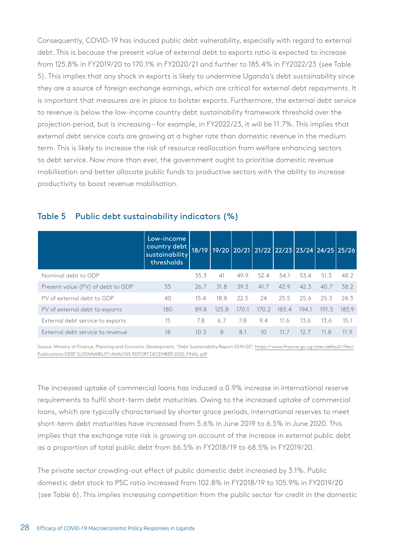Consequently, COVID-19 has induced public debt vulnerability, especially with regard to external debt. This is because the present value of external debt to exports ratio is expected to increase from 125.8% in FY2019/20 to 170.1% in FY2020/21 and further to 185.4% in FY2022/23 (see Table 5). This implies that any shock in exports is likely to undermine Uganda's debt sustainability since they are a source of foreign exchange earnings, which are critical for external debt repayments. It is important that measures are in place to bolster exports. Furthermore, the external debt service to revenue is below the low-income country debt sustainability framework threshold over the projection period, but is increasing – for example, in FY2022/23, it will be 11.7%. This implies that external debt service costs are growing at a higher rate than domestic revenue in the medium term. This is likely to increase the risk of resource reallocation from welfare enhancing sectors to debt service. Now more than ever, the government ought to prioritise domestic revenue mobilisation and better allocate public funds to productive sectors with the ability to increase productivity to boost revenue mobilisation.

|                                   | Low-income<br>country debt<br>sustainability<br>thresholds |      |       |       |       |       |       | 18/19 19/20 20/21 21/22 22/23 23/24 24/25 25/26 |       |
|-----------------------------------|------------------------------------------------------------|------|-------|-------|-------|-------|-------|-------------------------------------------------|-------|
| Nominal debt to GDP               |                                                            | 35.3 | 41    | 49.9  | 52.4  | 54.1  | 53.4  | 51.3                                            | 48.2  |
| Present value (PV) of debt to GDP | 55                                                         | 26.7 | 31.8  | 39.3  | 41.7  | 42.9  | 42.3  | 40.7                                            | 38.2  |
| PV of external debt to GDP        | 40                                                         | 15.4 | 18.8  | 22.5  | 24    | 25.5  | 25.6  | 25.3                                            | 24.3  |
| PV of external debt to exports    | 180                                                        | 89.8 | 125.8 | 170.1 | 170.2 | 185.4 | 194.1 | 191.3                                           | 183.9 |
| External debt service to exports  | 15                                                         | 7.8  | 6.7   | 7.8   | 9.4   | 11.6  | 13.6  | 13.6                                            | 15.1  |
| External debt service to revenue  | 18                                                         | 10.3 | 8     | 8.1   | 10    | 11.7  | 12.7  | 11.8                                            | 11.9  |

### Table 5 Public debt sustainability indicators (%)

Source: Ministry of Finance, Planning and Economic Development, "Debt Sustainability Report 2019/20", [https://www.finance.go.ug/sites/default/files/](https://www.finance.go.ug/sites/default/files/Publications/DEBT SUSTAINABILITY ANALYSIS REPORT DECEMBER 2020_FINAL.pdf) [Publications/DEBT SUSTAINABILITY ANALYSIS REPORT DECEMBER 2020\\_FINAL.pdf](https://www.finance.go.ug/sites/default/files/Publications/DEBT SUSTAINABILITY ANALYSIS REPORT DECEMBER 2020_FINAL.pdf)

The increased uptake of commercial loans has induced a 0.9% increase in international reserve requirements to fulfil short-term debt maturities. Owing to the increased uptake of commercial loans, which are typically characterised by shorter grace periods, international reserves to meet short-term debt maturities have increased from 5.6% in June 2019 to 6.5% in June 2020. This implies that the exchange rate risk is growing on account of the increase in external public debt as a proportion of total public debt from 66.5% in FY2018/19 to 68.5% in FY2019/20.

The private sector crowding-out effect of public domestic debt increased by 3.1%. Public domestic debt stock to PSC ratio increased from 102.8% in FY2018/19 to 105.9% in FY2019/20 (see Table 6). This implies increasing competition from the public sector for credit in the domestic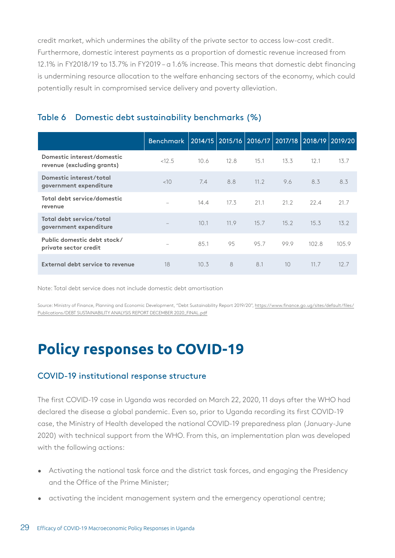credit market, which undermines the ability of the private sector to access low-cost credit. Furthermore, domestic interest payments as a proportion of domestic revenue increased from 12.1% in FY2018/19 to 13.7% in FY2019 – a 1.6% increase. This means that domestic debt financing is undermining resource allocation to the welfare enhancing sectors of the economy, which could potentially result in compromised service delivery and poverty alleviation.

# Table 6 Domestic debt sustainability benchmarks (%)

|                                                          | <b>Benchmark</b>         |      | 2014/15   2015/16   2016/17 |      |      | 2017/18 2018/19 2019/20 |       |
|----------------------------------------------------------|--------------------------|------|-----------------------------|------|------|-------------------------|-------|
| Domestic interest/domestic<br>revenue (excluding grants) | < 12.5                   | 10.6 | 12.8                        | 15.1 | 13.3 | 12.1                    | 13.7  |
| Domestic interest/total<br>government expenditure        | <10                      | 7.4  | 8.8                         | 11.2 | 9.6  | 8.3                     | 8.3   |
| Total debt service/domestic<br>revenue                   | $\overline{\phantom{m}}$ | 14.4 | 17.3                        | 21.1 | 21.2 | 22.4                    | 21.7  |
| Total debt service/total<br>government expenditure       | $\qquad \qquad -$        | 10.1 | 11.9                        | 15.7 | 15.2 | 15.3                    | 13.2  |
| Public domestic debt stock/<br>private sector credit     | $\overline{\phantom{m}}$ | 85.1 | 95                          | 95.7 | 99.9 | 102.8                   | 105.9 |
| External debt service to revenue                         | 18                       | 10.3 | 8                           | 8.1  | 10   | 11.7                    | 12.7  |

Note: Total debt service does not include domestic debt amortisation

Source: Ministry of Finance, Planning and Economic Development, "Debt Sustainability Report 2019/20", [https://www.finance.go.ug/sites/default/files/](https://www.finance.go.ug/sites/default/files/Publications/DEBT SUSTAINABILITY ANALYSIS REPORT DECEMBER 2020_FINAL.pdf) [Publications/DEBT SUSTAINABILITY ANALYSIS REPORT DECEMBER 2020\\_FINAL.pdf](https://www.finance.go.ug/sites/default/files/Publications/DEBT SUSTAINABILITY ANALYSIS REPORT DECEMBER 2020_FINAL.pdf)

# **Policy responses to COVID-19**

### COVID-19 institutional response structure

The first COVID-19 case in Uganda was recorded on March 22, 2020, 11 days after the WHO had declared the disease a global pandemic. Even so, prior to Uganda recording its first COVID-19 case, the Ministry of Health developed the national COVID-19 preparedness plan (January-June 2020) with technical support from the WHO. From this, an implementation plan was developed with the following actions:

- Activating the national task force and the district task forces, and engaging the Presidency and the Office of the Prime Minister;
- activating the incident management system and the emergency operational centre;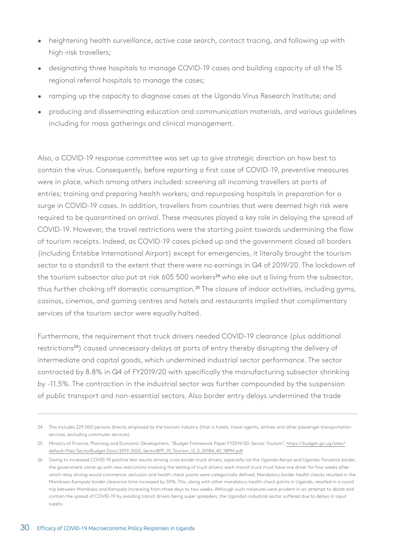- heightening health surveillance, active case search, contact tracing, and following up with high-risk travellers;
- designating three hospitals to manage COVID-19 cases and building capacity of all the 15 regional referral hospitals to manage the cases;
- ramping up the capacity to diagnose cases at the Uganda Virus Research Institute; and
- producing and disseminating education and communication materials, and various guidelines including for mass gatherings and clinical management.

Also, a COVID-19 response committee was set up to give strategic direction on how best to contain the virus. Consequently, before reporting a first case of COVID-19, preventive measures were in place, which among others included: screening all incoming travellers at ports of entries; training and preparing health workers; and repurposing hospitals in preparation for a surge in COVID-19 cases. In addition, travellers from countries that were deemed high risk were required to be quarantined on arrival. These measures played a key role in delaying the spread of COVID-19. However, the travel restrictions were the starting point towards undermining the flow of tourism receipts. Indeed, as COVID-19 cases picked up and the government closed all borders (including Entebbe International Airport) except for emergencies, it literally brought the tourism sector to a standstill to the extent that there were no earnings in Q4 of 2019/20. The lockdown of the tourism subsector also put at risk 605 500 workers<sup>24</sup> who eke out a living from the subsector, thus further choking off domestic consumption.<sup>25</sup> The closure of indoor activities, including gyms, casinos, cinemas, and gaming centres and hotels and restaurants implied that complimentary services of the tourism sector were equally halted.

Furthermore, the requirement that truck drivers needed COVID-19 clearance (plus additional restrictions<sup>26</sup>) caused unnecessary delays at ports of entry thereby disrupting the delivery of intermediate and capital goods, which undermined industrial sector performance. The sector contracted by 8.8% in Q4 of FY2019/20 with specifically the manufacturing subsector shrinking by -11.5%. The contraction in the industrial sector was further compounded by the suspension of public transport and non-essential sectors. Also border entry delays undermined the trade

<sup>24</sup> This includes 229 000 persons directly employed by the tourism industry (that is hotels, travel agents, airlines and other passenger transportation services, excluding commuter services).

<sup>25</sup> Ministry of Finance, Planning and Economic Development, "Budget Framework Paper FY2019/20: Sector-Tourism", [https://budget.go.ug/sites/](https://budget.go.ug/sites/default/files/Sector Budget Docs/2019-2020_SectorBFP_19_Tourism_12_5_20184_45_18PM.pdf) [default/files/SectorBudget Docs/2019-2020\\_SectorBFP\\_19\\_Tourism\\_12\\_5\\_20184\\_45\\_18PM.pdf.](https://budget.go.ug/sites/default/files/Sector Budget Docs/2019-2020_SectorBFP_19_Tourism_12_5_20184_45_18PM.pdf)

<sup>26</sup> Owing to increased COVID-19 positive test results among cross border truck drivers, especially via the Uganda-Kenya and Uganda-Tanzania border, the government came up with new restrictions involving the testing of truck drivers: each transit truck must have one driver for four weeks after which relay driving would commence; seclusion and health check points were categorically defined. Mandatory border health checks resulted in the Mombasa-Kampala border clearance time increased by 50%. This, along with other mandatory health check points in Uganda, resulted in a round trip between Mombasa and Kampala increasing from three days to two weeks. Although such measures were prudent in an attempt to abate and contain the spread of COVID-19 by avoiding transit drivers being super spreaders, the Ugandan industrial sector suffered due to delays in input supply.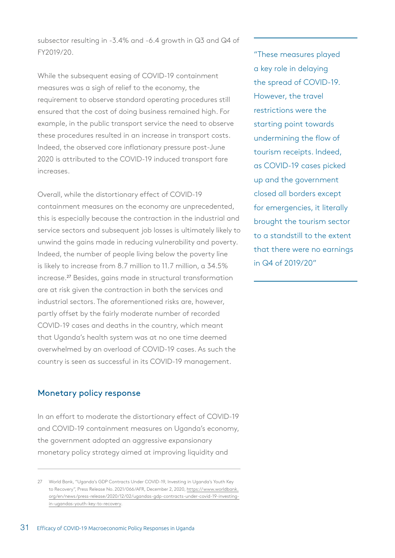subsector resulting in -3.4% and -6.4 growth in Q3 and Q4 of FY2019/20.

While the subsequent easing of COVID-19 containment measures was a sigh of relief to the economy, the requirement to observe standard operating procedures still ensured that the cost of doing business remained high. For example, in the public transport service the need to observe these procedures resulted in an increase in transport costs. Indeed, the observed core inflationary pressure post-June 2020 is attributed to the COVID-19 induced transport fare increases.

Overall, while the distortionary effect of COVID-19 containment measures on the economy are unprecedented, this is especially because the contraction in the industrial and service sectors and subsequent job losses is ultimately likely to unwind the gains made in reducing vulnerability and poverty. Indeed, the number of people living below the poverty line is likely to increase from 8.7 million to 11.7 million, a 34.5% increase.27 Besides, gains made in structural transformation are at risk given the contraction in both the services and industrial sectors. The aforementioned risks are, however, partly offset by the fairly moderate number of recorded COVID-19 cases and deaths in the country, which meant that Uganda's health system was at no one time deemed overwhelmed by an overload of COVID-19 cases. As such the country is seen as successful in its COVID-19 management.

#### Monetary policy response

In an effort to moderate the distortionary effect of COVID-19 and COVID-19 containment measures on Uganda's economy, the government adopted an aggressive expansionary monetary policy strategy aimed at improving liquidity and

"These measures played a key role in delaying the spread of COVID-19. However, the travel restrictions were the starting point towards undermining the flow of tourism receipts. Indeed, as COVID-19 cases picked up and the government closed all borders except for emergencies, it literally brought the tourism sector to a standstill to the extent that there were no earnings in Q4 of 2019/20"

<sup>27</sup> World Bank, "Uganda's GDP Contracts Under COVID-19, Investing in Uganda's Youth Key to Recovery", Press Release No. 2021/066/AFR, December 2, 2020, [https://www.worldbank.](https://www.worldbank.org/en/news/press-release/2020/12/02/ugandas-gdp-contracts-under-covid-19-investing-in-ugandas-youth-key-to-recovery) [org/en/news/press-release/2020/12/02/ugandas-gdp-contracts-under-covid-19-investing](https://www.worldbank.org/en/news/press-release/2020/12/02/ugandas-gdp-contracts-under-covid-19-investing-in-ugandas-youth-key-to-recovery)[in-ugandas-youth-key-to-recovery](https://www.worldbank.org/en/news/press-release/2020/12/02/ugandas-gdp-contracts-under-covid-19-investing-in-ugandas-youth-key-to-recovery).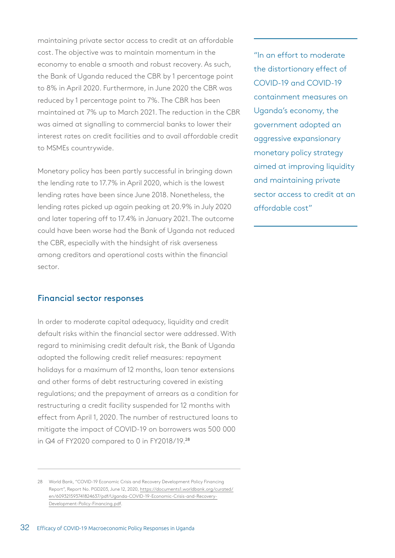maintaining private sector access to credit at an affordable cost. The objective was to maintain momentum in the economy to enable a smooth and robust recovery. As such, the Bank of Uganda reduced the CBR by 1 percentage point to 8% in April 2020. Furthermore, in June 2020 the CBR was reduced by 1 percentage point to 7%. The CBR has been maintained at 7% up to March 2021. The reduction in the CBR was aimed at signalling to commercial banks to lower their interest rates on credit facilities and to avail affordable credit to MSMEs countrywide.

Monetary policy has been partly successful in bringing down the lending rate to 17.7% in April 2020, which is the lowest lending rates have been since June 2018. Nonetheless, the lending rates picked up again peaking at 20.9% in July 2020 and later tapering off to 17.4% in January 2021. The outcome could have been worse had the Bank of Uganda not reduced the CBR, especially with the hindsight of risk averseness among creditors and operational costs within the financial sector.

#### Financial sector responses

In order to moderate capital adequacy, liquidity and credit default risks within the financial sector were addressed. With regard to minimising credit default risk, the Bank of Uganda adopted the following credit relief measures: repayment holidays for a maximum of 12 months, loan tenor extensions and other forms of debt restructuring covered in existing regulations; and the prepayment of arrears as a condition for restructuring a credit facility suspended for 12 months with effect from April 1, 2020. The number of restructured loans to mitigate the impact of COVID-19 on borrowers was 500 000 in Q4 of FY2020 compared to 0 in FY2018/19.<sup>28</sup>

"In an effort to moderate the distortionary effect of COVID-19 and COVID-19 containment measures on Uganda's economy, the government adopted an aggressive expansionary monetary policy strategy aimed at improving liquidity and maintaining private sector access to credit at an affordable cost"

<sup>28</sup> World Bank, "COVID-19 Economic Crisis and Recovery Development Policy Financing Report", Report No. PGD203, June 12, 2020, [https://documents1.worldbank.org/curated/](https://documents1.worldbank.org/curated/en/609321593741824637/pdf/Uganda-COVID-19-Economic-Crisis-and-Recovery-Development-Policy-Financing.pdf) [en/609321593741824637/pdf/Uganda-COVID-19-Economic-Crisis-and-Recovery-](https://documents1.worldbank.org/curated/en/609321593741824637/pdf/Uganda-COVID-19-Economic-Crisis-and-Recovery-Development-Policy-Financing.pdf)[Development-Policy-Financing.pdf](https://documents1.worldbank.org/curated/en/609321593741824637/pdf/Uganda-COVID-19-Economic-Crisis-and-Recovery-Development-Policy-Financing.pdf).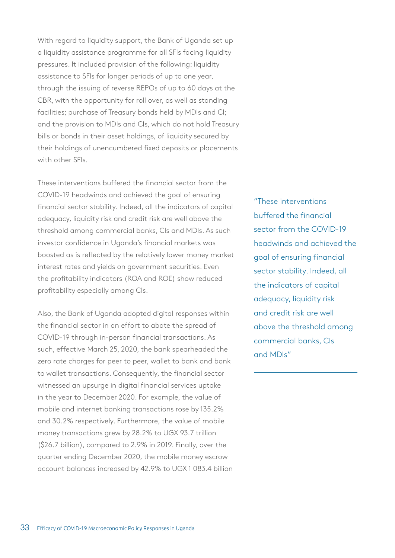With regard to liquidity support, the Bank of Uganda set up a liquidity assistance programme for all SFIs facing liquidity pressures. It included provision of the following: liquidity assistance to SFIs for longer periods of up to one year, through the issuing of reverse REPOs of up to 60 days at the CBR, with the opportunity for roll over, as well as standing facilities; purchase of Treasury bonds held by MDIs and CI; and the provision to MDIs and CIs, which do not hold Treasury bills or bonds in their asset holdings, of liquidity secured by their holdings of unencumbered fixed deposits or placements with other SFIs.

These interventions buffered the financial sector from the COVID-19 headwinds and achieved the goal of ensuring financial sector stability. Indeed, all the indicators of capital adequacy, liquidity risk and credit risk are well above the threshold among commercial banks, CIs and MDIs. As such investor confidence in Uganda's financial markets was boosted as is reflected by the relatively lower money market interest rates and yields on government securities. Even the profitability indicators (ROA and ROE) show reduced profitability especially among CIs.

Also, the Bank of Uganda adopted digital responses within the financial sector in an effort to abate the spread of COVID-19 through in-person financial transactions. As such, effective March 25, 2020, the bank spearheaded the zero rate charges for peer to peer, wallet to bank and bank to wallet transactions. Consequently, the financial sector witnessed an upsurge in digital financial services uptake in the year to December 2020. For example, the value of mobile and internet banking transactions rose by 135.2% and 30.2% respectively. Furthermore, the value of mobile money transactions grew by 28.2% to UGX 93.7 trillion (\$26.7 billion), compared to 2.9% in 2019. Finally, over the quarter ending December 2020, the mobile money escrow account balances increased by 42.9% to UGX 1 083.4 billion

"These interventions buffered the financial sector from the COVID-19 headwinds and achieved the goal of ensuring financial sector stability. Indeed, all the indicators of capital adequacy, liquidity risk and credit risk are well above the threshold among commercial banks, CIs and MDIs"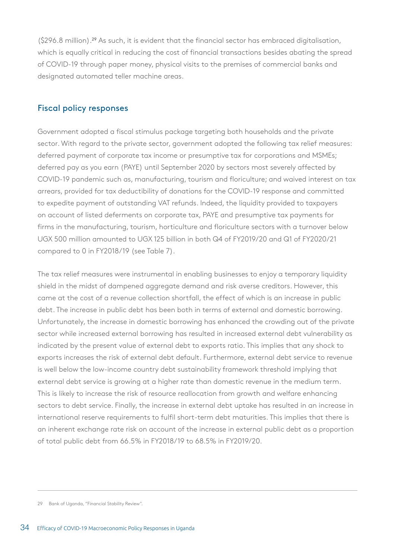(\$296.8 million).29 As such, it is evident that the financial sector has embraced digitalisation, which is equally critical in reducing the cost of financial transactions besides abating the spread of COVID-19 through paper money, physical visits to the premises of commercial banks and designated automated teller machine areas.

### Fiscal policy responses

Government adopted a fiscal stimulus package targeting both households and the private sector. With regard to the private sector, government adopted the following tax relief measures: deferred payment of corporate tax income or presumptive tax for corporations and MSMEs; deferred pay as you earn (PAYE) until September 2020 by sectors most severely affected by COVID-19 pandemic such as, manufacturing, tourism and floriculture; and waived interest on tax arrears, provided for tax deductibility of donations for the COVID-19 response and committed to expedite payment of outstanding VAT refunds. Indeed, the liquidity provided to taxpayers on account of listed deferments on corporate tax, PAYE and presumptive tax payments for firms in the manufacturing, tourism, horticulture and floriculture sectors with a turnover below UGX 500 million amounted to UGX 125 billion in both Q4 of FY2019/20 and Q1 of FY2020/21 compared to 0 in FY2018/19 (see Table 7).

The tax relief measures were instrumental in enabling businesses to enjoy a temporary liquidity shield in the midst of dampened aggregate demand and risk averse creditors. However, this came at the cost of a revenue collection shortfall, the effect of which is an increase in public debt. The increase in public debt has been both in terms of external and domestic borrowing. Unfortunately, the increase in domestic borrowing has enhanced the crowding out of the private sector while increased external borrowing has resulted in increased external debt vulnerability as indicated by the present value of external debt to exports ratio. This implies that any shock to exports increases the risk of external debt default. Furthermore, external debt service to revenue is well below the low-income country debt sustainability framework threshold implying that external debt service is growing at a higher rate than domestic revenue in the medium term. This is likely to increase the risk of resource reallocation from growth and welfare enhancing sectors to debt service. Finally, the increase in external debt uptake has resulted in an increase in international reserve requirements to fulfil short-term debt maturities. This implies that there is an inherent exchange rate risk on account of the increase in external public debt as a proportion of total public debt from 66.5% in FY2018/19 to 68.5% in FY2019/20.

<sup>29</sup> Bank of Uganda, "Financial Stability Review".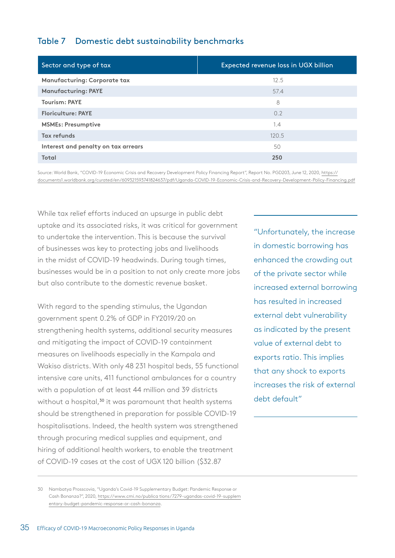### Table 7 Domestic debt sustainability benchmarks

| Expected revenue loss in UGX billion |
|--------------------------------------|
| 12.5                                 |
| 57.4                                 |
| 8                                    |
| 0.2                                  |
| 1.4                                  |
| 120.5                                |
| 50                                   |
| 250                                  |
|                                      |

Source: World Bank, "COVID-19 Economic Crisis and Recovery Development Policy Financing Report", Report No. PGD203, June 12, 2020, [https://](https://documents1.worldbank.org/curated/en/609321593741824637/pdf/Uganda-COVID-19-Economic-Crisis-and-Recovery-Development-Policy-Financing.pdf) [documents1.worldbank.org/curated/en/609321593741824637/pdf/Uganda-COVID-19-Economic-Crisis-and-Recovery-Development-Policy-Financing.pdf](https://documents1.worldbank.org/curated/en/609321593741824637/pdf/Uganda-COVID-19-Economic-Crisis-and-Recovery-Development-Policy-Financing.pdf)

While tax relief efforts induced an upsurge in public debt uptake and its associated risks, it was critical for government to undertake the intervention. This is because the survival of businesses was key to protecting jobs and livelihoods in the midst of COVID-19 headwinds. During tough times, businesses would be in a position to not only create more jobs but also contribute to the domestic revenue basket.

With regard to the spending stimulus, the Ugandan government spent 0.2% of GDP in FY2019/20 on strengthening health systems, additional security measures and mitigating the impact of COVID-19 containment measures on livelihoods especially in the Kampala and Wakiso districts. With only 48 231 hospital beds, 55 functional intensive care units, 411 functional ambulances for a country with a population of at least 44 million and 39 districts without a hospital,<sup>30</sup> it was paramount that health systems should be strengthened in preparation for possible COVID-19 hospitalisations. Indeed, the health system was strengthened through procuring medical supplies and equipment, and hiring of additional health workers, to enable the treatment of COVID-19 cases at the cost of UGX 120 billion (\$32.87

"Unfortunately, the increase in domestic borrowing has enhanced the crowding out of the private sector while increased external borrowing has resulted in increased external debt vulnerability as indicated by the present value of external debt to exports ratio. This implies that any shock to exports increases the risk of external debt default"

<sup>30</sup> Nambatya Prosscovia, "Uganda's Covid-19 Supplementary Budget: Pandemic Response or Cash Bonanza?", 2020, [https://www.cmi.no/publica tions/7279-ugandas-covid-19-supplem](https://www.cmi.no/publications/7279-ugandas-covid-19-supplementary-budget-pandemic-response-or-cash-bonanza) [entary-budget-pandemic-response-or-cash-bonanza](https://www.cmi.no/publications/7279-ugandas-covid-19-supplementary-budget-pandemic-response-or-cash-bonanza).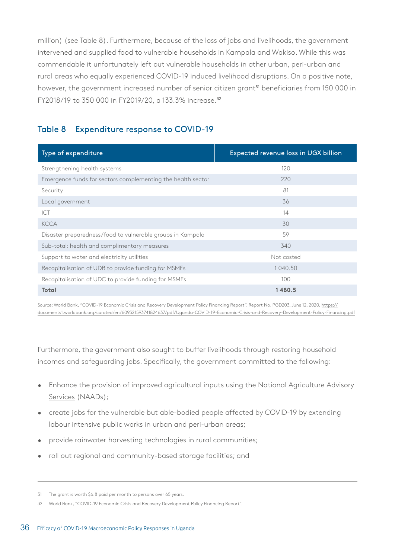million) (see Table 8). Furthermore, because of the loss of jobs and livelihoods, the government intervened and supplied food to vulnerable households in Kampala and Wakiso. While this was commendable it unfortunately left out vulnerable households in other urban, peri-urban and rural areas who equally experienced COVID-19 induced livelihood disruptions. On a positive note, however, the government increased number of senior citizen grant<sup>31</sup> beneficiaries from 150 000 in FY2018/19 to 350 000 in FY2019/20, a 133.3% increase.<sup>32</sup>

# Table 8 Expenditure response to COVID-19

| Type of expenditure                                         | Expected revenue loss in UGX billion |
|-------------------------------------------------------------|--------------------------------------|
| Strengthening health systems                                | 120                                  |
| Emergence funds for sectors complementing the health sector | 220                                  |
| Security                                                    | 81                                   |
| Local government                                            | 36                                   |
| <b>ICT</b>                                                  | 14                                   |
| <b>KCCA</b>                                                 | 30                                   |
| Disaster preparedness/food to vulnerable groups in Kampala  | 59                                   |
| Sub-total: health and complimentary measures                | 340                                  |
| Support to water and electricity utilities                  | Not costed                           |
| Recapitalisation of UDB to provide funding for MSMEs        | 1040.50                              |
| Recapitalisation of UDC to provide funding for MSMEs        | 100                                  |
| <b>Total</b>                                                | 1480.5                               |

Source: World Bank, "COVID-19 Economic Crisis and Recovery Development Policy Financing Report". Report No. PGD203, June 12, 2020, [https://](World Bank, “COVID-19 Economic Crisis and Recovery Development Policy Financing Report”. Report No. PGD203, June 12, 2020, https://documents1.worldbank.org/curated/en/609321593741824637/pdf/Uganda-COVID-19-Economic-Crisis-and-Recovery-Development-Policy-Financing.pdf) [documents1.worldbank.org/curated/en/609321593741824637/pdf/Uganda-COVID-19-Economic-Crisis-and-Recovery-Development-Policy-Financing.pdf](World Bank, “COVID-19 Economic Crisis and Recovery Development Policy Financing Report”. Report No. PGD203, June 12, 2020, https://documents1.worldbank.org/curated/en/609321593741824637/pdf/Uganda-COVID-19-Economic-Crisis-and-Recovery-Development-Policy-Financing.pdf)

Furthermore, the government also sought to buffer livelihoods through restoring household incomes and safeguarding jobs. Specifically, the government committed to the following:

- Enhance the provision of improved agricultural inputs using the [National Agriculture Advisory](https://naads.or.ug/)  [Services](https://naads.or.ug/) (NAADs);
- create jobs for the vulnerable but able-bodied people affected by COVID-19 by extending labour intensive public works in urban and peri-urban areas;
- provide rainwater harvesting technologies in rural communities;
- roll out regional and community-based storage facilities; and

<sup>31</sup> The grant is worth \$6.8 paid per month to persons over 65 years.

<sup>32</sup> World Bank, "COVID-19 Economic Crisis and Recovery Development Policy Financing Report".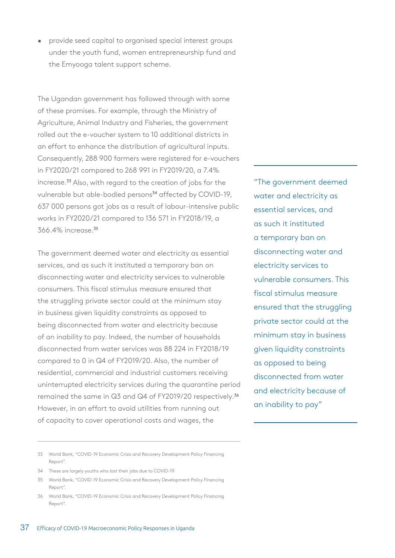• provide seed capital to organised special interest groups under the youth fund, women entrepreneurship fund and the Emyooga talent support scheme.

The Ugandan government has followed through with some of these promises. For example, through the Ministry of Agriculture, Animal Industry and Fisheries, the government rolled out the e-voucher system to 10 additional districts in an effort to enhance the distribution of agricultural inputs. Consequently, 288 900 farmers were registered for e-vouchers in FY2020/21 compared to 268 991 in FY2019/20, a 7.4% increase.33 Also, with regard to the creation of jobs for the vulnerable but able-bodied persons<sup>34</sup> affected by COVID-19, 637 000 persons got jobs as a result of labour-intensive public works in FY2020/21 compared to 136 571 in FY2018/19, a 366.4% increase.<sup>35</sup>

The government deemed water and electricity as essential services, and as such it instituted a temporary ban on disconnecting water and electricity services to vulnerable consumers. This fiscal stimulus measure ensured that the struggling private sector could at the minimum stay in business given liquidity constraints as opposed to being disconnected from water and electricity because of an inability to pay. Indeed, the number of households disconnected from water services was 88 224 in FY2018/19 compared to 0 in Q4 of FY2019/20. Also, the number of residential, commercial and industrial customers receiving uninterrupted electricity services during the quarantine period remained the same in Q3 and Q4 of FY2019/20 respectively.<sup>36</sup> However, in an effort to avoid utilities from running out of capacity to cover operational costs and wages, the

"The government deemed water and electricity as essential services, and as such it instituted a temporary ban on disconnecting water and electricity services to vulnerable consumers. This fiscal stimulus measure ensured that the struggling private sector could at the minimum stay in business given liquidity constraints as opposed to being disconnected from water and electricity because of an inability to pay"

- 33 World Bank, "COVID-19 Economic Crisis and Recovery Development Policy Financing Report".
- 34 These are largely youths who lost their jobs due to COVID-19
- 35 World Bank, "COVID-19 Economic Crisis and Recovery Development Policy Financing Report".
- 36 World Bank, "COVID-19 Economic Crisis and Recovery Development Policy Financing Report".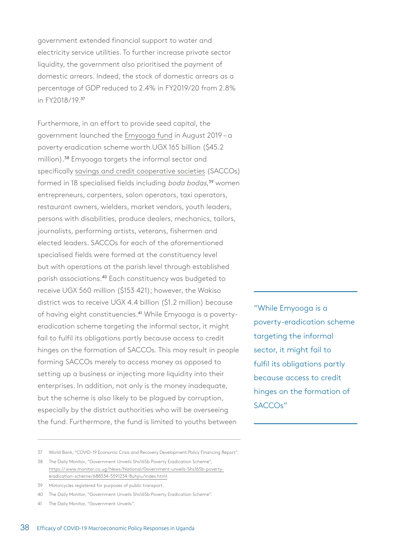government extended financial support to water and electricity service utilities. To further increase private sector liquidity, the government also prioritised the payment of domestic arrears. Indeed, the stock of domestic arrears as a percentage of GDP reduced to 2.4% in FY2019/20 from 2.8% in FY2018/19.<sup>37</sup>

Furthermore, in an effort to provide seed capital, the government launched the [Emyooga fund](https://www.msc.co.ug/faqs-emyooga-presidential-initiative) in August 2019 – a poverty eradication scheme worth UGX 165 billion (\$45.2 million).38 Emyooga targets the informal sector and specifically [savings and credit cooperative societies](https://www.uccfs.co.ug/index.php/in-media/news/3-saccos-to-start-paying-tax-on-their-profits) (SACCOs) formed in 18 specialised fields including *boda bodas*,<sup>39</sup> women entrepreneurs, carpenters, salon operators, taxi operators, restaurant owners, wielders, market vendors, youth leaders, persons with disabilities, produce dealers, mechanics, tailors, journalists, performing artists, veterans, fishermen and elected leaders. SACCOs for each of the aforementioned specialised fields were formed at the constituency level but with operations at the parish level through established parish associations.40 Each constituency was budgeted to receive UGX 560 million (\$153 421); however, the Wakiso district was to receive UGX 4.4 billion (\$1.2 million) because of having eight constituencies.<sup>41</sup> While Emyooga is a povertyeradication scheme targeting the informal sector, it might fail to fulfil its obligations partly because access to credit hinges on the formation of SACCOs. This may result in people forming SACCOs merely to access money as opposed to setting up a business or injecting more liquidity into their enterprises. In addition, not only is the money inadequate, but the scheme is also likely to be plagued by corruption, especially by the district authorities who will be overseeing the fund. Furthermore, the fund is limited to youths between

"While Emyooga is a poverty-eradication scheme targeting the informal sector, it might fail to fulfil its obligations partly because access to credit hinges on the formation of SACCOs"

- 38 The Daily Monitor, "Government Unveils Shs165b Poverty Eradication Scheme", [https://www.monitor.co.ug/News/National/Government-unveils-Shs165b-poverty-](https://www.monitor.co.ug/News/National/Government-unveils-Shs165b-poverty-eradication-scheme/688334-5591234-8uhjru/index.html)
- [eradication-scheme/688334-5591234-8uhjru/index.html.](https://www.monitor.co.ug/News/National/Government-unveils-Shs165b-poverty-eradication-scheme/688334-5591234-8uhjru/index.html)

- 40 The Daily Monitor, "Government Unveils Shs165b Poverty Eradication Scheme".
- 41 The Daily Monitor, "Government Unveils".

<sup>37</sup> World Bank, "COVID-19 Economic Crisis and Recovery Development Policy Financing Report".

<sup>39</sup> Motorcycles registered for purposes of public transport.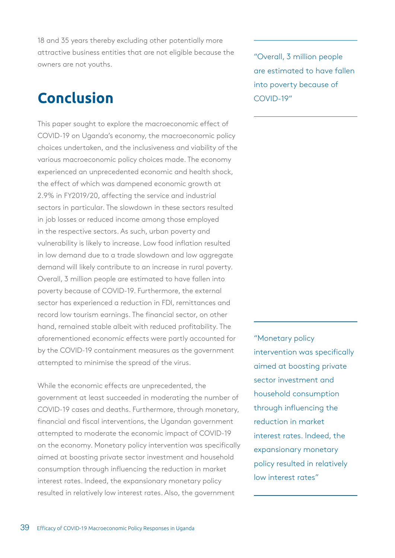18 and 35 years thereby excluding other potentially more attractive business entities that are not eligible because the owners are not youths.

# **Conclusion**

This paper sought to explore the macroeconomic effect of COVID-19 on Uganda's economy, the macroeconomic policy choices undertaken, and the inclusiveness and viability of the various macroeconomic policy choices made. The economy experienced an unprecedented economic and health shock, the effect of which was dampened economic growth at 2.9% in FY2019/20, affecting the service and industrial sectors in particular. The slowdown in these sectors resulted in job losses or reduced income among those employed in the respective sectors. As such, urban poverty and vulnerability is likely to increase. Low food inflation resulted in low demand due to a trade slowdown and low aggregate demand will likely contribute to an increase in rural poverty. Overall, 3 million people are estimated to have fallen into poverty because of COVID-19. Furthermore, the external sector has experienced a reduction in FDI, remittances and record low tourism earnings. The financial sector, on other hand, remained stable albeit with reduced profitability. The aforementioned economic effects were partly accounted for by the COVID-19 containment measures as the government attempted to minimise the spread of the virus.

While the economic effects are unprecedented, the government at least succeeded in moderating the number of COVID-19 cases and deaths. Furthermore, through monetary, financial and fiscal interventions, the Ugandan government attempted to moderate the economic impact of COVID-19 on the economy. Monetary policy intervention was specifically aimed at boosting private sector investment and household consumption through influencing the reduction in market interest rates. Indeed, the expansionary monetary policy resulted in relatively low interest rates. Also, the government

"Overall, 3 million people are estimated to have fallen into poverty because of COVID-19"

"Monetary policy intervention was specifically aimed at boosting private sector investment and household consumption through influencing the reduction in market interest rates. Indeed, the expansionary monetary policy resulted in relatively low interest rates"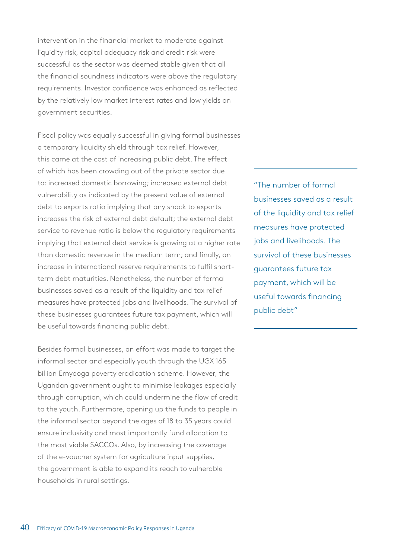intervention in the financial market to moderate against liquidity risk, capital adequacy risk and credit risk were successful as the sector was deemed stable given that all the financial soundness indicators were above the regulatory requirements. Investor confidence was enhanced as reflected by the relatively low market interest rates and low yields on government securities.

Fiscal policy was equally successful in giving formal businesses a temporary liquidity shield through tax relief. However, this came at the cost of increasing public debt. The effect of which has been crowding out of the private sector due to: increased domestic borrowing; increased external debt vulnerability as indicated by the present value of external debt to exports ratio implying that any shock to exports increases the risk of external debt default; the external debt service to revenue ratio is below the regulatory requirements implying that external debt service is growing at a higher rate than domestic revenue in the medium term; and finally, an increase in international reserve requirements to fulfil shortterm debt maturities. Nonetheless, the number of formal businesses saved as a result of the liquidity and tax relief measures have protected jobs and livelihoods. The survival of these businesses guarantees future tax payment, which will be useful towards financing public debt.

Besides formal businesses, an effort was made to target the informal sector and especially youth through the UGX 165 billion Emyooga poverty eradication scheme. However, the Ugandan government ought to minimise leakages especially through corruption, which could undermine the flow of credit to the youth. Furthermore, opening up the funds to people in the informal sector beyond the ages of 18 to 35 years could ensure inclusivity and most importantly fund allocation to the most viable SACCOs. Also, by increasing the coverage of the e-voucher system for agriculture input supplies, the government is able to expand its reach to vulnerable households in rural settings.

"The number of formal businesses saved as a result of the liquidity and tax relief measures have protected jobs and livelihoods. The survival of these businesses guarantees future tax payment, which will be useful towards financing public debt"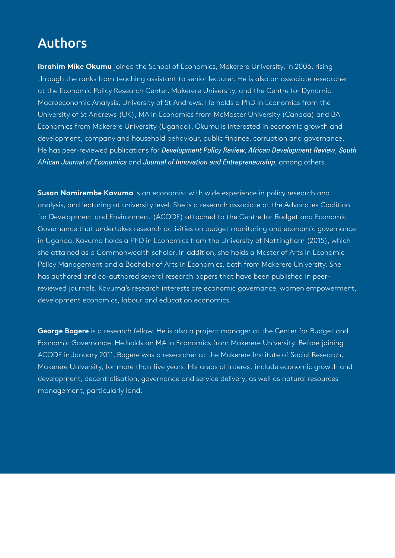# Authors

**Ibrahim Mike Okumu** joined the School of Economics, Makerere University, in 2006, rising through the ranks from teaching assistant to senior lecturer. He is also an associate researcher at the Economic Policy Research Center, Makerere University, and the Centre for Dynamic Macroeconomic Analysis, University of St Andrews. He holds a PhD in Economics from the University of St Andrews (UK), MA in Economics from McMaster University (Canada) and BA Economics from Makerere University (Uganda). Okumu is interested in economic growth and development, company and household behaviour, public finance, corruption and governance. He has peer-reviewed publications for *Development Policy Review*, *African Development Review*, *South African Journal of Economics* and *Journal of Innovation and Entrepreneurship*, among others.

**Susan Namirembe Kavuma** is an economist with wide experience in policy research and analysis, and lecturing at university level. She is a research associate at the Advocates Coalition for Development and Environment (ACODE) attached to the Centre for Budget and Economic Governance that undertakes research activities on budget monitoring and economic governance in Uganda. Kavuma holds a PhD in Economics from the University of Nottingham (2015), which she attained as a Commonwealth scholar. In addition, she holds a Master of Arts in Economic Policy Management and a Bachelor of Arts in Economics, both from Makerere University. She has authored and co-authored several research papers that have been published in peerreviewed journals. Kavuma's research interests are economic governance, women empowerment, development economics, labour and education economics.

**George Bogere** is a research fellow. He is also a project manager at the Center for Budget and Economic Governance. He holds an MA in Economics from Makerere University. Before joining ACODE in January 2011, Bogere was a researcher at the Makerere Institute of Social Research, Makerere University, for more than five years. His areas of interest include economic growth and development, decentralisation, governance and service delivery, as well as natural resources management, particularly land.